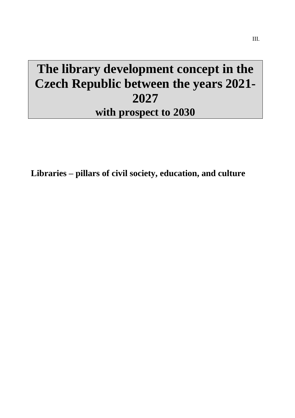# **The library development concept in the Czech Republic between the years 2021- 2027 with prospect to 2030**

**Libraries – pillars of civil society, education, and culture**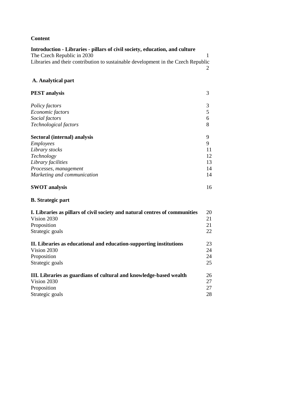### **Content**

| Introduction - Libraries - pillars of civil society, education, and culture       |    |
|-----------------------------------------------------------------------------------|----|
| The Czech Republic in 2030                                                        | 1  |
| Libraries and their contribution to sustainable development in the Czech Republic |    |
|                                                                                   | 2  |
| A. Analytical part                                                                |    |
| <b>PEST</b> analysis                                                              | 3  |
| Policy factors                                                                    | 3  |
| Economic factors                                                                  | 5  |
| Social factors                                                                    | 6  |
| Technological factors                                                             | 8  |
| Sectoral (internal) analysis                                                      | 9  |
| Employees                                                                         | 9  |
| Library stocks                                                                    | 11 |
| Technology                                                                        | 12 |
| Library facilities                                                                | 13 |
| Processes, management                                                             | 14 |
| Marketing and communication                                                       | 14 |
| <b>SWOT</b> analysis                                                              | 16 |
| <b>B.</b> Strategic part                                                          |    |
| I. Libraries as pillars of civil society and natural centres of communities       | 20 |
| Vision 2030                                                                       | 21 |
| Proposition                                                                       | 21 |
| Strategic goals                                                                   | 22 |
| II. Libraries as educational and education-supporting institutions                | 23 |
| Vision 2030                                                                       | 24 |
| Proposition                                                                       | 24 |
| Strategic goals                                                                   | 25 |
| III. Libraries as guardians of cultural and knowledge-based wealth                | 26 |
| Vision 2030                                                                       | 27 |
| Proposition                                                                       | 27 |
| Strategic goals                                                                   | 28 |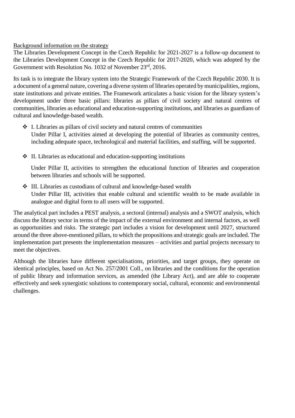### Background information on the strategy

The Libraries Development Concept in the Czech Republic for 2021-2027 is a follow-up document to the Libraries Development Concept in the Czech Republic for 2017-2020, which was adopted by the Government with Resolution No. 1032 of November 23rd, 2016.

Its task is to integrate the library system into the Strategic Framework of the Czech Republic 2030. It is a document of a general nature, covering a diverse system of libraries operated by municipalities, regions, state institutions and private entities. The Framework articulates a basic vision for the library system's development under three basic pillars: libraries as pillars of civil society and natural centres of communities, libraries as educational and education-supporting institutions, and libraries as guardians of cultural and knowledge-based wealth.

- ❖ I. Libraries as pillars of civil society and natural centres of communities Under Pillar I, activities aimed at developing the potential of libraries as community centres, including adequate space, technological and material facilities, and staffing, will be supported.
- ❖ II. Libraries as educational and education-supporting institutions

Under Pillar II, activities to strengthen the educational function of libraries and cooperation between libraries and schools will be supported.

❖ III. Libraries as custodians of cultural and knowledge-based wealth Under Pillar III, activities that enable cultural and scientific wealth to be made available in analogue and digital form to all users will be supported.

The analytical part includes a PEST analysis, a sectoral (internal) analysis and a SWOT analysis, which discuss the library sector in terms of the impact of the external environment and internal factors, as well as opportunities and risks. The strategic part includes a vision for development until 2027, structured around the three above-mentioned pillars, to which the propositions and strategic goals are included. The implementation part presents the implementation measures – activities and partial projects necessary to meet the objectives.

Although the libraries have different specialisations, priorities, and target groups, they operate on identical principles, based on Act No. 257/2001 Coll., on libraries and the conditions for the operation of public library and information services, as amended (the Library Act), and are able to cooperate effectively and seek synergistic solutions to contemporary social, cultural, economic and environmental challenges.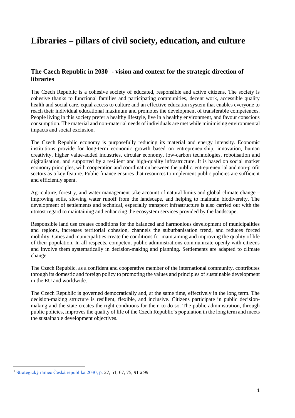## **Libraries – pillars of civil society, education, and culture**

### **The Czech Republic in 2030**<sup>1</sup> **- vision and context for the strategic direction of libraries**

The Czech Republic is a cohesive society of educated, responsible and active citizens. The society is cohesive thanks to functional families and participating communities, decent work, accessible quality health and social care, equal access to culture and an effective education system that enables everyone to reach their individual educational maximum and promotes the development of transferable competences. People living in this society prefer a healthy lifestyle, live in a healthy environment, and favour conscious consumption. The material and non-material needs of individuals are met while minimising environmental impacts and social exclusion.

The Czech Republic economy is purposefully reducing its material and energy intensity. Economic institutions provide for long-term economic growth based on entrepreneurship, innovation, human creativity, higher value-added industries, circular economy, low-carbon technologies, robotisation and digitalisation, and supported by a resilient and high-quality infrastructure. It is based on social market economy principles, with cooperation and coordination between the public, entrepreneurial and non-profit sectors as a key feature. Public finance ensures that resources to implement public policies are sufficient and efficiently spent.

Agriculture, forestry, and water management take account of natural limits and global climate change – improving soils, slowing water runoff from the landscape, and helping to maintain biodiversity. The development of settlements and technical, especially transport infrastructure is also carried out with the utmost regard to maintaining and enhancing the ecosystem services provided by the landscape.

Responsible land use creates conditions for the balanced and harmonious development of municipalities and regions, increases territorial cohesion, channels the suburbanisation trend, and reduces forced mobility. Cities and municipalities create the conditions for maintaining and improving the quality of life of their population. In all respects, competent public administrations communicate openly with citizens and involve them systematically in decision-making and planning. Settlements are adapted to climate change.

The Czech Republic, as a confident and cooperative member of the international community, contributes through its domestic and foreign policy to promoting the values and principles of sustainable development in the EU and worldwide.

The Czech Republic is governed democratically and, at the same time, effectively in the long term. The decision-making structure is resilient, flexible, and inclusive. Citizens participate in public decisionmaking and the state creates the right conditions for them to do so. The public administration, through public policies, improves the quality of life of the Czech Republic's population in the long term and meets the sustainable development objectives.

**.** 

<sup>1</sup> [Strategický rámec Česká republika 2030,](https://www.cr2030.cz/strategie/dokumenty-ke-stazeni/) p. 27, 51, 67, 75, 91 a 99.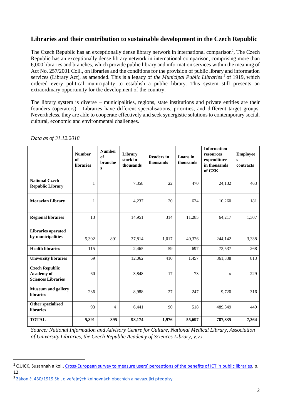### **Libraries and their contribution to sustainable development in the Czech Republic**

The Czech Republic has an exceptionally dense library network in international comparison<sup>2</sup>, The Czech Republic has an exceptionally dense library network in international comparison, comprising more than 6,000 libraries and branches, which provide public library and information services within the meaning of Act No. 257/2001 Coll., on libraries and the conditions for the provision of public library and information services (Library Act), as amended. This is a legacy of *the Municipal Public Libraries*<sup>3</sup> of 1919, which ordered every political municipality to establish a public library. This system still presents an extraordinary opportunity for the development of the country.

The library system is diverse – municipalities, regions, state institutions and private entities are their founders (operators). Libraries have different specialisations, priorities, and different target groups. Nevertheless, they are able to cooperate effectively and seek synergistic solutions to contemporary social, cultural, economic and environmental challenges.

|                                                                  | <b>Number</b><br>of<br>libraries | <b>Number</b><br>of<br>branche<br>S | Library<br>stock in<br>thousands | <b>Readers in</b><br>thousands | Loans in<br>thousands | <b>Information</b><br>resources<br>expenditure<br>in thousands<br>of CZK | <b>Employee</b><br>$s -$<br>contracts |
|------------------------------------------------------------------|----------------------------------|-------------------------------------|----------------------------------|--------------------------------|-----------------------|--------------------------------------------------------------------------|---------------------------------------|
| <b>National Czech</b><br><b>Republic Library</b>                 | 1                                |                                     | 7,358                            | 22                             | 470                   | 24,132                                                                   | 463                                   |
| <b>Moravian Library</b>                                          | 1                                |                                     | 4,237                            | 20                             | 624                   | 10,260                                                                   | 181                                   |
| <b>Regional libraries</b>                                        | 13                               |                                     | 14,951                           | 314                            | 11,285                | 64,217                                                                   | 1,307                                 |
| <b>Libraries operated</b><br>by municipalities                   |                                  |                                     |                                  |                                |                       |                                                                          |                                       |
|                                                                  | 5,302                            | 891                                 | 37,814                           | 1,017                          | 40,326                | 244,142                                                                  | 3,338                                 |
| <b>Health libraries</b>                                          | 115                              |                                     | 2,465                            | 59                             | 697                   | 73,537                                                                   | 268                                   |
| <b>University libraries</b>                                      | 69                               |                                     | 12,062                           | 410                            | 1,457                 | 361,338                                                                  | 813                                   |
| <b>Czech Republic</b><br>Academy of<br><b>Sciences Libraries</b> | 60                               |                                     | 3,848                            | 17                             | 73                    | $\mathbf X$                                                              | 229                                   |
| <b>Museum and gallery</b><br><b>libraries</b>                    | 236                              |                                     | 8,988                            | 27                             | 247                   | 9,720                                                                    | 316                                   |
| Other specialised<br><b>libraries</b>                            | 93                               | $\overline{4}$                      | 6,441                            | 90                             | 518                   | 489,349                                                                  | 449                                   |
| <b>TOTAL</b>                                                     | 5,891                            | 895                                 | 98,174                           | 1,976                          | 55,697                | 787,835                                                                  | 7,364                                 |

*Data as of 31.12.2018*

*Source: National Information and Advisory Centre for Culture, National Medical Library, Association of University Libraries, the Czech Republic Academy of Sciences Library, v.v.i.*

**.** 

<sup>&</sup>lt;sup>2</sup> QUICK, Susannah a kol., Cross-[European survey to measure users' perceptions of the benefits of ICT in public libraries](https://digital.lib.washington.edu/researchworks/bitstream/handle/1773/22718/Final%20Report%20-%20Cross-European%20Library%20Impact.pdf), p. 12.

<sup>&</sup>lt;sup>3</sup> [Zákon č. 430/1919 Sb., o veřejných knihovnách obecních a navazující předpisy](https://ipk.nkp.cz/docs/legislativa/KnihovniZakon_1919.doc)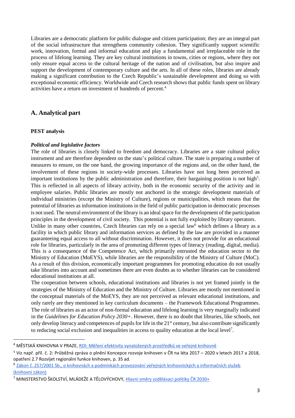Libraries are a democratic platform for public dialogue and citizen participation; they are an integral part of the social infrastructure that strengthens community cohesion. They significantly support scientific work, innovation, formal and informal education and play a fundamental and irreplaceable role in the process of lifelong learning. They are key cultural institutions in towns, cities or regions, where they not only ensure equal access to the cultural heritage of the nation and of civilisation, but also inspire and support the development of contemporary culture and the arts. In all of these roles, libraries are already making a significant contribution to the Czech Republic's sustainable development and doing so with exceptional economic efficiency. Worldwide and Czech research shows that public funds spent on library activities have a return on investment of hundreds of percent. 4

### **A. Analytical part**

### **PEST analysis**

**.** 

### *Political and legislative factors*

The role of libraries is closely linked to freedom and democracy. Libraries are a state cultural policy instrument and are therefore dependent on the state's political culture. The state is preparing a number of measures to ensure, on the one hand, the growing importance of the regions and, on the other hand, the involvement of these regions in society-wide processes. Libraries have not long been perceived as important institutions by the public administration and therefore, their bargaining position is not high<sup>5</sup>. This is reflected in all aspects of library activity, both in the economic security of the activity and in employee salaries. Public libraries are mostly not anchored in the strategic development materials of individual ministries (except the Ministry of Culture), regions or municipalities, which means that the potential of libraries as information institutions in the field of public participation in democratic processes is not used. The neutral environment of the library is an ideal space for the development of the participation principles in the development of civil society. This potential is not fully exploited by library operators.

Unlike in many other countries, Czech libraries can rely on a special law<sup>6</sup> which defines a library as a facility in which public library and information services as defined by the law are provided in a manner guaranteeing equal access to all without discrimination. However, it does not provide for an educational role for libraries, particularly in the area of promoting different types of literacy (reading, digital, media). This is a consequence of the Competence Act, which primarily entrusted the education sector to the Ministry of Education (MoEYS), while libraries are the responsibility of the Ministry of Culture (MoC). As a result of this division, economically important programmes for promoting education do not usually take libraries into account and sometimes there are even doubts as to whether libraries can be considered educational institutions at all.

The cooperation between schools, educational institutions and libraries is not yet framed jointly in the strategies of the Ministry of Education and the Ministry of Culture. Libraries are mostly not mentioned in the conceptual materials of the MoEYS, they are not perceived as relevant educational institutions, and only rarely are they mentioned in key curriculum documents – the Framework Educational Programmes. The role of libraries as an actor of non-formal education and lifelong learning is very marginally indicated in the *Guidelines for Education Policy 2030+*. However, there is no doubt that libraries, like schools, not only develop literacy and competences of pupils for life in the 21<sup>st</sup> century, but also contribute significantly to reducing social exclusion and inequalities in access to quality education at the local level<sup>7</sup>.

<sup>&</sup>lt;sup>4</sup> MĚSTSKÁ KNIHOVNA V PRAZE[, ROI: Měření efektivity vynaložených prostředků ve veřejné knihovně](https://www.mlp.cz/cz/o-knihovne/roi/)

<sup>5</sup> Viz např. příl. č. 2: Průběžná zpráva o plnění Koncepce rozvoje knihoven v ČR na léta 2017 – 2020 v letech 2017 a 2018, opatření 2.7 Rozvíjet regionální funkce knihoven, p. 35 ad.

<sup>&</sup>lt;sup>6</sup> Zákon č. 257/2001 Sb., o knihovnách a podmínkách provozování veřejných knihovnických a informačních služeb [\(knihovní zákon\)](https://ipk.nkp.cz/legislativa/01_LegPod/knihovni-zakon-257-2001-sb.-a-navazne-provadeci-prepisy/Zakon257.htm)

<sup>7</sup> MINISTERSTVO ŠKOLSTVÍ, MLÁDEŽE A TĚLOVÝCHOVY, [Hlavní směry vzdělávací politiky ČR 2030+](http://www.msmt.cz/file/51582/)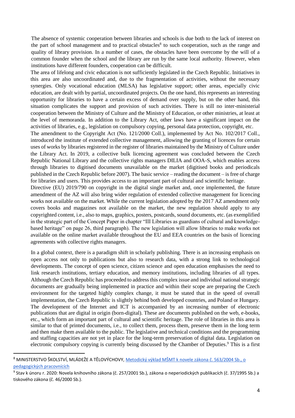The absence of systemic cooperation between libraries and schools is due both to the lack of interest on the part of school management and to practical obstacles<sup>8</sup> to such cooperation, such as the range and quality of library provision. In a number of cases, the obstacles have been overcome by the will of a common founder when the school and the library are run by the same local authority. However, when institutions have different founders, cooperation can be difficult.

The area of lifelong and civic education is not sufficiently legislated in the Czech Republic. Initiatives in this area are also uncoordinated and, due to the fragmentation of activities, without the necessary synergies. Only vocational education (MLSA) has legislative support; other areas, especially civic education, are dealt with by partial, uncoordinated projects. On the one hand, this represents an interesting opportunity for libraries to have a certain excess of demand over supply, but on the other hand, this situation complicates the support and provision of such activities. There is still no inter-ministerial cooperation between the Ministry of Culture and the Ministry of Education, or other ministries, at least at the level of memoranda. In addition to the Library Act, other laws have a significant impact on the activities of libraries, e.g., legislation on compulsory copying, personal data protection, copyright, etc.

The amendment to the Copyright Act (No. 121/2000 Coll.), implemented by Act No. 102/2017 Coll., introduced the institute of extended collective management, allowing the granting of licences for certain uses of works by libraries registered in the register of libraries maintained by the Ministry of Culture under the Library Act. In 2019, a collective bulk licencing agreement was concluded between the Czech Republic National Library and the collective rights managers DILIA and OOA-S, which enables access through libraries to digitised documents unavailable on the market (digitised books and periodicals published in the Czech Republic before 2007). The basic service – reading the document – is free of charge for libraries and users. This provides access to an important part of cultural and scientific heritage.

Directive (EU) 2019/790 on copyright in the digital single market and, once implemented, the future amendment of the AZ will also bring wider regulation of extended collective management for licencing works not available on the market. While the current legislation adopted by the 2017 AZ amendment only covers books and magazines not available on the market, the new regulation should apply to any copyrighted content, i.e., also to maps, graphics, posters, postcards, sound documents, etc. (as exemplified in the strategic part of the Concept Paper in chapter "III Libraries as guardians of cultural and knowledgebased heritage" on page 26, third paragraph). The new legislation will allow libraries to make works not available on the online market available throughout the EU and EEA countries on the basis of licencing agreements with collective rights managers.

In a global context, there is a paradigm shift in scholarly publishing. There is an increasing emphasis on open access not only to publications but also to research data, with a strong link to technological developments. The concept of open science, citizen science and open education emphasises the need to link research institutions, tertiary education, and memory institutions, including libraries of all types. Although the Czech Republic has proceeded to address this complex issue and individual national strategic documents are gradually being implemented in practice and within their scope are preparing the Czech environment for the targeted highly complex change, it must be stated that in the speed of overall implementation, the Czech Republic is slightly behind both developed countries, and Poland or Hungary. The development of the Internet and ICT is accompanied by an increasing number of electronic publications that are digital in origin (born-digital). These are documents published on the web, e-books, etc., which form an important part of cultural and scientific heritage. The role of libraries in this area is similar to that of printed documents, i.e., to collect them, process them, preserve them in the long term and then make them available to the public. The legislative and technical conditions and the programming and staffing capacities are not yet in place for the long-term preservation of digital data. Legislation on electronic compulsory copying is currently being discussed by the Chamber of Deputies.<sup>9</sup> This is a first

 $\overline{a}$ 

<sup>8</sup> MINISTERSTVO ŠKOLSTVÍ, MLÁDEŽE A TĚLOVÝCHOVY, [Metodický výklad MŠMT k novele zákona č. 563/2004 Sb., o](http://www.msmt.cz/dokumenty-3/novela-zakona-o-pedagogickych-pracovnicich)  [pedagogických pracovnících](http://www.msmt.cz/dokumenty-3/novela-zakona-o-pedagogickych-pracovnicich) 

<sup>&</sup>lt;sup>9</sup> Stav k únoru r. 2020: Novela knihovního zákona (č. 257/2001 Sb.), zákona o neperiodických publikacích (č. 37/1995 Sb.) a tiskového zákona (č. 46/2000 Sb.).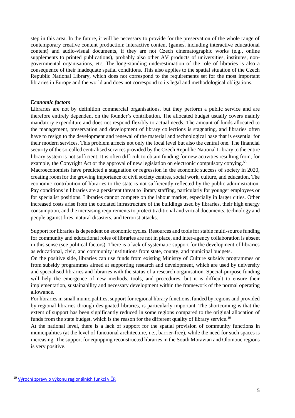step in this area. In the future, it will be necessary to provide for the preservation of the whole range of contemporary creative content production: interactive content (games, including interactive educational content) and audio-visual documents, if they are not Czech cinematographic works (e.g., online supplements to printed publications), probably also other AV products of universities, institutes, nongovernmental organisations, etc. The long-standing underestimation of the role of libraries is also a consequence of their inadequate spatial conditions. This also applies to the spatial situation of the Czech Republic National Library, which does not correspond to the requirements set for the most important libraries in Europe and the world and does not correspond to its legal and methodological obligations.

### *Economic factors*

Libraries are not by definition commercial organisations, but they perform a public service and are therefore entirely dependent on the founder's contribution. The allocated budget usually covers mainly mandatory expenditure and does not respond flexibly to actual needs. The amount of funds allocated to the management, preservation and development of library collections is stagnating, and libraries often have to resign to the development and renewal of the material and technological base that is essential for their modern services. This problem affects not only the local level but also the central one. The financial security of the so-called centralised services provided by the Czech Republic National Library to the entire library system is not sufficient. It is often difficult to obtain funding for new activities resulting from, for example, the Copyright Act or the approval of new legislation on electronic compulsory copying.<sup>55</sup> Macroeconomists have predicted a stagnation or regression in the economic success of society in 2020, creating room for the growing importance of civil society centres, social work, culture, and education. The economic contribution of libraries to the state is not sufficiently reflected by the public administration. Pay conditions in libraries are a persistent threat to library staffing, particularly for younger employees or for specialist positions. Libraries cannot compete on the labour market, especially in larger cities. Other

increased costs arise from the outdated infrastructure of the buildings used by libraries, their high energy consumption, and the increasing requirements to protect traditional and virtual documents, technology and people against fires, natural disasters, and terrorist attacks.

Support for libraries is dependent on economic cycles. Resources and tools for stable multi-source funding for community and educational roles of libraries are not in place, and inter-agency collaboration is absent in this sense (see political factors). There is a lack of systematic support for the development of libraries as educational, civic, and community institutions from state, county, and municipal budgets.

On the positive side, libraries can use funds from existing Ministry of Culture subsidy programmes or from subsidy programmes aimed at supporting research and development, which are used by university and specialised libraries and libraries with the status of a research organisation. Special-purpose funding will help the emergence of new methods, tools, and procedures, but it is difficult to ensure their implementation, sustainability and necessary development within the framework of the normal operating allowance.

For libraries in small municipalities, support for regional library functions, funded by regions and provided by regional libraries through designated libraries, is particularly important. The shortcoming is that the extent of support has been significantly reduced in some regions compared to the original allocation of funds from the state budget, which is the reason for the different quality of library service.<sup>10</sup>

At the national level, there is a lack of support for the spatial provision of community functions in municipalities (at the level of functional architecture, i.e., barrier-free), while the need for such spaces is increasing. The support for equipping reconstructed libraries in the South Moravian and Olomouc regions is very positive.

1

<sup>10</sup> [Výroční zprávy o výkonu regionálních funkcí v ČR](https://ipk.nkp.cz/programy-podpory/regionalni-funkce-verejnych-knihoven/vyrocni-zpravy)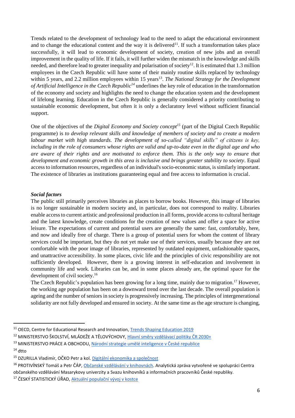Trends related to the development of technology lead to the need to adapt the educational environment and to change the educational content and the way it is delivered<sup>11</sup>. If such a transformation takes place successfully, it will lead to economic development of society, creation of new jobs and an overall improvement in the quality of life. If it fails, it will further widen the mismatch in the knowledge and skills needed, and therefore lead to greater inequality and polarisation of society<sup>12</sup>. It is estimated that 1.3 million employees in the Czech Republic will have some of their mainly routine skills replaced by technology within 5 years, and 2.2 million employees within 15 years<sup>13</sup>. The National Strategy for the Development *of Artificial Intelligence in the Czech Republic<sup>14</sup>* underlines the key role of education in the transformation of the economy and society and highlights the need to change the education system and the development of lifelong learning. Education in the Czech Republic is generally considered a priority contributing to sustainable economic development, but often it is only a declaratory level without sufficient financial support.

One of the objectives of the *Digital Economy and Society concept<sup>15</sup>* (part of the Digital Czech Republic programme) is *to develop relevant skills and knowledge of members of society and to create a modern labour market with high standards. The development of so-called "digital skills" of citizens is key, including in the role of consumers whose rights are valid and up-to-date even in the digital age and who are aware of their rights and are motivated to enforce them. This is the only way to ensure that development and economic growth in this area is inclusive and brings greater stability to society.* Equal access to information resources, regardless of an individual's socio-economic status, is similarly important. The existence of libraries as institutions guaranteeing equal and free access to information is crucial.

### *Social factors*

The public still primarily perceives libraries as places to borrow books. However, this image of libraries is no longer sustainable in modern society and, in particular, does not correspond to reality. Libraries enable access to current artistic and professional production in all forms, provide access to cultural heritage and the latest knowledge, create conditions for the creation of new values and offer a space for active leisure. The expectations of current and potential users are generally the same: fast, comfortably, here, and now and ideally free of charge. There is a group of potential users for whom the content of library services could be important, but they do not yet make use of their services, usually because they are not comfortable with the poor image of libraries, represented by outdated equipment, unfashionable spaces, and unattractive accessibility. In some places, civic life and the principles of civic responsibility are not sufficiently developed. However, there is a growing interest in self-education and involvement in community life and work. Libraries can be, and in some places already are, the optimal space for the development of civil society. 16

The Czech Republic's population has been growing for a long time, mainly due to migration.<sup>17</sup> However, the working age population has been on a downward trend over the last decade. The overall population is ageing and the number of seniors in society is progressively increasing. The principles of intergenerational solidarity are not fully developed and ensured in society. At the same time as the age structure is changing,

**.** 

<sup>&</sup>lt;sup>11</sup> OECD, Centre for Educational Research and Innovation, [Trends Shaping Education 2019](https://doi.org/10.1787/trends_edu-2019-en.)

<sup>&</sup>lt;sup>12</sup> MINISTERSTVO ŠKOLSTVÍ, MLÁDEŽE A TĚLOVÝCHOVY, [Hlavní směry vzdělávací politiky ČR 2030+](http://www.msmt.cz/file/51582/)

<sup>&</sup>lt;sup>13</sup> MINISTERSTVO PRÁCE A OBCHODU[, Národní strategie umělé inteligence v České republice](https://www.vlada.cz/assets/evropske-zalezitosti/umela-inteligence/NAIS_kveten_2019.pdf)

 $14$  dtto

<sup>&</sup>lt;sup>15</sup> DZURILLA Vladimír, OČKO Petr a kol. [Digitální ekonomika a společnost](https://www.digitalnicesko.cz/wp-content/uploads/2019/04/03_Program-Digit%C3%A1ln%C3%AD-%C4%8Cesko_Digit%C3%A1ln%C3%AD-ekonomika-a-spole%C4%8Dnost.pdf)

<sup>&</sup>lt;sup>16</sup> PROTIVÍNSKÝ Tomáš a Petr ČÁP, [Občanské vzdělávání v knihovnách.](https://ipk.nkp.cz/statistika-pruzkumy-dokumenty/pruzkumy/ObcanskeVzdelavaniVknihovnach.pdf) Analytická zpráva vytvořené ve spolupráci Centra

občanského vzdělávání Masarykovy univerzity a Svazu knihovníků a informačních pracovníků České republiky.

<sup>&</sup>lt;sup>17</sup> ČESKÝ STATISTICKÝ ÚŘAD, [Aktuální populační vývoj v kostce](https://www.czso.cz/csu/czso/aktualni-populacni-vyvoj-v-kostce.)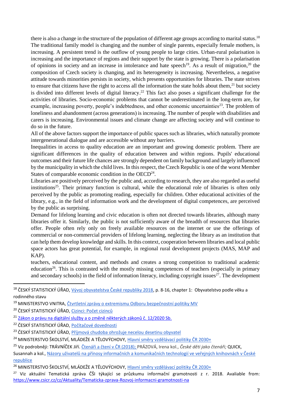there is also a change in the structure of the population of different age groups according to marital status.<sup>18</sup> The traditional family model is changing and the number of single parents, especially female mothers, is increasing. A persistent trend is the outflow of young people to large cities. Urban-rural polarisation is increasing and the importance of regions and their support by the state is growing. There is a polarisation of opinions in society and an increase in intolerance and hate speech<sup>19</sup>. As a result of migration,<sup>20</sup> the composition of Czech society is changing, and its heterogeneity is increasing. Nevertheless, a negative attitude towards minorities persists in society, which presents opportunities for libraries. The state strives to ensure that citizens have the right to access all the information the state holds about them,<sup>21</sup> but society is divided into different levels of digital literacy.<sup>22</sup> This fact also poses a significant challenge for the activities of libraries. Socio-economic problems that cannot be underestimated in the long-term are, for example, increasing poverty, people's indebtedness, and other economic uncertainties<sup>23</sup>. The problem of loneliness and abandonment (across generations) is increasing. The number of people with disabilities and carers is increasing. Environmental issues and climate change are affecting society and will continue to do so in the future.

All of the above factors support the importance of public spaces such as libraries, which naturally promote intergenerational dialogue and are accessible without any barriers.

Inequalities in access to quality education are an important and growing domestic problem. There are significant differences in the quality of education between and within regions. Pupils' educational outcomes and their future life chances are strongly dependent on family background and largely influenced by the municipality in which the child lives. In this respect, the Czech Republic is one of the worst Member States of comparable economic condition in the  $OECD<sup>24</sup>$ .

Libraries are positively perceived by the public and, according to research, they are also regarded as useful institutions<sup>25</sup>. Their primary function is cultural, while the educational role of libraries is often only perceived by the public as promoting reading, especially for children. Other educational activities of the library, e.g., in the field of information work and the development of digital competences, are perceived by the public as surprising.

Demand for lifelong learning and civic education is often not directed towards libraries, although many libraries offer it. Similarly, the public is not sufficiently aware of the breadth of resources that libraries offer. People often rely only on freely available resources on the internet or use the offerings of commercial or non-commercial providers of lifelong learning, neglecting the library as an institution that can help them develop knowledge and skills. In this context, cooperation between libraries and local public space actors has great potential, for example, in regional rural development projects (MAS, MAP and KAP).

teachers, educational content, and methods and creates a strong competition to traditional academic education<sup>26</sup>. This is contrasted with the mostly missing competences of teachers (especially in primary and secondary schools) in the field of information literacy, including copyright issues<sup>27</sup>. The development

1

<sup>&</sup>lt;sup>18</sup> ČESKÝ STATISTICKÝ ÚŘAD, [Vývoj obyvatelstva České republiky 2018](https://www.czso.cz/documents/10180/91917384/13006919.pdf/d16e1b99-3406-462e-a522-f421103d8684?version=1.2), p. 8-16, chapter 1: Obyvatelstvo podle věku a rodinného stavu

<sup>&</sup>lt;sup>19</sup> MINISTERSTVO VNITRA, [Čtvrtletní zprávy o extremismu Odboru bezpečnostní politiky MV](https://www.mvcr.cz/clanek/ctvrtletni-zpravy-o-extremismu-odboru-bezpecnostni-politiky-mv.aspx)

<sup>&</sup>lt;sup>20</sup> ČESKÝ STATISTICKÝ ÚŘAD, [Cizinci: Počet cizinců](https://www.czso.cz/csu/cizinci/cizinci-pocet-cizincu)

<sup>&</sup>lt;sup>21</sup> [Zákon o právu na digitální služby a o změně některých zákonů č. 12/2020 Sb.](https://www.zakonyprolidi.cz/print/cs/2020-12/zneni-20200201.htm?sil=1)

<sup>&</sup>lt;sup>22</sup> ČESKÝ STATISTICKÝ ÚŘAD, [Počítačové dovednosti](https://www.czso.cz/documents/10180/83108604/pocitacove_dovednosti_v_cr.pdf/)

<sup>&</sup>lt;sup>23</sup> ČESKÝ STATISTICKÝ ÚŘAD, [Příjmová chudoba ohrožuje necelou dese](https://www.czso.cz/csu/czso/prijmova-chudoba-ohrozuje-necelou-desetinu-obyvatel)tinu obyvatel

<sup>&</sup>lt;sup>24</sup> MINISTERSTVO ŠKOLSTVÍ, MLÁDEŽE A TĚLOVÝCHOVY, [Hlavní směry vzdělávací politiky ČR 2030+](http://www.msmt.cz/file/51582/)

<sup>25</sup> Viz podrobněji: TRÁVNÍČEK Jiří[. Čtenáři a čtení v ČR \(2018\)](https://www.ucl.cas.cz/images/Vyzkum_2018_prezentace.pdf.); PRÁZOVÁ, Irena kol., *České děti jako čtenáři;* QUICK,

Susannah a kol., [Názory uživatelů na přínosy informačních a komunikačních technologií ve veřejných knihovnách v České](https://ipk.nkp.cz/docs/CrossEuropeanLibrariesSurveyCZE_cor.pdf)  [republice](https://ipk.nkp.cz/docs/CrossEuropeanLibrariesSurveyCZE_cor.pdf)

<sup>&</sup>lt;sup>26</sup> MINISTERSTVO ŠKOLSTVÍ, MLÁDEŽE A TĚLOVÝCHOVY, [Hlavní směry vzdělávací politiky ČR 2030+](http://www.msmt.cz/file/51582/)

<sup>&</sup>lt;sup>27</sup> Viz aktuální Tematická zpráva ČŠI týkající se průzkumu informační gramotnosti z r. 2018. Avaliable from: <https://www.csicr.cz/cz/Aktuality/Tematicka-zprava-Rozvoj-informacni-gramotnosti-na>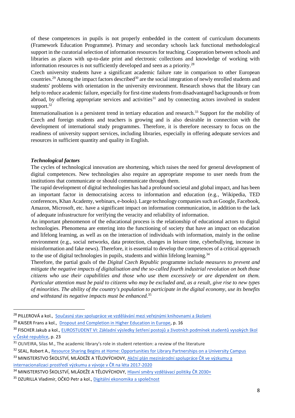of these competences in pupils is not properly embedded in the content of curriculum documents (Framework Education Programme). Primary and secondary schools lack functional methodological support in the curatorial selection of information resources for teaching. Cooperation between schools and libraries as places with up-to-date print and electronic collections and knowledge of working with information resources is not sufficiently developed and seen as a priority. 28

Czech university students have a significant academic failure rate in comparison to other European countries.<sup>29</sup> Among the impact factors described<sup>30</sup> are the social integration of newly enrolled students and students' problems with orientation in the university environment. Research shows that the library can help to reduce academic failure, especially for first-time students from disadvantaged backgrounds or from abroad, by offering appropriate services and activities<sup>31</sup> and by connecting actors involved in student support.<sup>32</sup>

Internationalisation is a persistent trend in tertiary education and research.<sup>33</sup> Support for the mobility of Czech and foreign students and teachers is growing and is also desirable in connection with the development of international study programmes. Therefore, it is therefore necessary to focus on the readiness of university support services, including libraries, especially in offering adequate services and resources in sufficient quantity and quality in English.

### *Technological factors*

1

The cycles of technological innovation are shortening, which raises the need for general development of digital competences. New technologies also require an appropriate response to user needs from the institutions that communicate or should communicate through them.

The rapid development of digital technologies has had a profound societal and global impact, and has been an important factor in democratising access to information and education (e.g., Wikipedia, TED conferences, Khan Academy, webinars, e-books). Large technology companies such as Google, Facebook, Amazon, Microsoft, etc. have a significant impact on information communication, in addition to the lack of adequate infrastructure for verifying the veracity and reliability of information.

An important phenomenon of the educational process is the relationship of educational actors to digital technologies. Phenomena are entering into the functioning of society that have an impact on education and lifelong learning, as well as on the interaction of individuals with information, mainly in the online environment (e.g., social networks, data protection, changes in leisure time, cyberbullying, increase in misinformation and fake news). Therefore, it is essential to develop the competences of a critical approach to the use of digital technologies in pupils, students and within lifelong learning.<sup>34</sup>

Therefore, the partial goals of the *Digital Czech Republic* programme include *measures to prevent and mitigate the negative impacts of digitalisation and the so-called fourth industrial revolution on both those citizens who use their capabilities and those who use them excessively or are dependent on them. Particular attention must be paid to citizens who may be excluded and, as a result, give rise to new types of minorities. The ability of the country's population to participate in the digital economy, use its benefits and withstand its negative impacts must be enhanced.* 35

<sup>&</sup>lt;sup>28</sup> PILLEROVÁ a kol., [Současný stav spolupráce ve vzdělávání mezi veřejnými knihovnami a školami](https://ipk.nkp.cz/docs/copy_of_ZPRAVA_PRZKUM_KOLY_2019.pdf)

<sup>&</sup>lt;sup>29</sup> KAISER Frans a kol., [Dropout and Completion in Higher Education in Europe,](http://publications.europa.eu/resource/cellar/12be15b0-0dce-11e6-ba9a-01aa75ed71a1.0001.01/DOC_1) p. 16

<sup>&</sup>lt;sup>30</sup> FISCHER Jakub a kol., EUROSTUDENT VI: Základní výsledky šetření postojů a životních podmínek studentů vysokých škol [v České republice](http://www.msmt.cz/uploads/odbor_30/TF/Analyticke_materialy/Eurostudent/E_VI_zaverecna_zprava.pdf), p. 23

<sup>&</sup>lt;sup>31</sup> OLIVEIRA, Silas M., The academic library's role in student retention: a review of the literature

<sup>32</sup> SEAL, Robert A.[, Resource Sharing Begins at Home: Opportunities for Library Partnerships on a University Campus](http://ecommons.luc.edu/cgi/viewcontent.cgi?article=1036&context=lib_facpubs)

<sup>33</sup> MINISTERSTVO ŠKOLSTVÍ, MLÁDEŽE A TĚLOVÝCHOVY, Akční plán mezinárodní spolupráce ČR ve výzkumu a [internacionalizaci prostředí výzkumu a vývoje v ČR na léta 2017](http://www.msmt.cz/vyzkum-a-vyvoj-2/akcni-plan-mezinarodni-spoluprace-cr-ve-vyzkumu-a-vyvoji-a)-2020

<sup>&</sup>lt;sup>34</sup> MINISTERSTVO ŠKOLSTVÍ, MLÁDEŽE A TĚLOVÝCHOVY, [Hlavní směry vzdělávací politiky ČR 2030+](http://www.msmt.cz/file/51582/)

<sup>&</sup>lt;sup>35</sup> DZURILLA Vladimír, OČKO Petr a kol.[, Digitální ekonomika a společnost](https://www.digitalnicesko.cz/wp-content/uploads/2019/04/03_Program-Digit%C3%A1ln%C3%AD-%C4%8Cesko_Digit%C3%A1ln%C3%AD-ekonomika-a-spole%C4%8Dnost.pdf)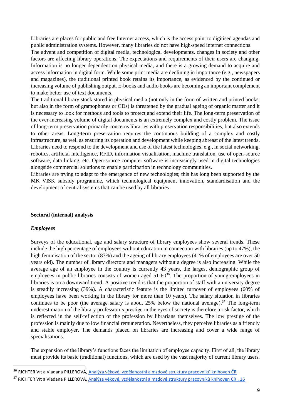Libraries are places for public and free Internet access, which is the access point to digitised agendas and public administration systems. However, many libraries do not have high-speed internet connections.

The advent and competition of digital media, technological developments, changes in society and other factors are affecting library operations. The expectations and requirements of their users are changing. Information is no longer dependent on physical media, and there is a growing demand to acquire and access information in digital form. While some print media are declining in importance (e.g., newspapers and magazines), the traditional printed book retains its importance, as evidenced by the continued or increasing volume of publishing output. E-books and audio books are becoming an important complement to make better use of text documents.

The traditional library stock stored in physical media (not only in the form of written and printed books, but also in the form of gramophones or CDs) is threatened by the gradual ageing of organic matter and it is necessary to look for methods and tools to protect and extend their life. The long-term preservation of the ever-increasing volume of digital documents is an extremely complex and costly problem. The issue of long-term preservation primarily concerns libraries with preservation responsibilities, but also extends to other areas. Long-term preservation requires the continuous building of a complex and costly infrastructure, as well as ensuring its operation and development while keeping abreast of the latest trends. Libraries need to respond to the development and use of the latest technologies, e.g., in social networking, robotics, artificial intelligence, RFID, information visualisation, machine translation, use of open-source software, data linking, etc. Open-source computer software is increasingly used in digital technologies alongside commercial solutions to enable participation in technology communities.

Libraries are trying to adapt to the emergence of new technologies; this has long been supported by the MK VISK subsidy programme, which technological equipment innovation, standardisation and the development of central systems that can be used by all libraries.

#### **Sectoral (internal) analysis**

#### *Employees*

 $\overline{a}$ 

Surveys of the educational, age and salary structure of library employees show several trends. These include the high percentage of employees without education in connection with libraries (up to 47%), the high feminisation of the sector (87%) and the ageing of library employees (41% of employees are over 50 years old). The number of library directors and managers without a degree is also increasing. While the average age of an employee in the country is currently 43 years, the largest demographic group of employees in public libraries consists of women aged 51-60<sup>36</sup>. The proportion of young employees in libraries is on a downward trend. A positive trend is that the proportion of staff with a university degree is steadily increasing (39%). A characteristic feature is the limited turnover of employees (60% of employees have been working in the library for more than 10 years). The salary situation in libraries continues to be poor (the average salary is about  $25\%$  below the national average).<sup>37</sup> The long-term underestimation of the library profession's prestige in the eyes of society is therefore a risk factor, which is reflected in the self-reflection of the profession by librarians themselves. The low prestige of the profession is mainly due to low financial remuneration. Nevertheless, they perceive libraries as a friendly and stable employer. The demands placed on libraries are increasing and cover a wide range of specialisations.

The expansion of the library's functions faces the limitation of employee capacity. First of all, the library must provide its basic (traditional) functions, which are used by the vast majority of current library users.

<sup>&</sup>lt;sup>36</sup> RICHTER Vít a Vladana PILLEROVÁ, Analýza věkové, vzdělanostní a mzdové struktury pracovníků knihoven ČR

<sup>&</sup>lt;sup>37</sup> RICHTER Vít a Vladana PILLEROVÁ, Analýza věkové, vzdělanostní a mzdové struktury pracovníků knihoven ČR, 16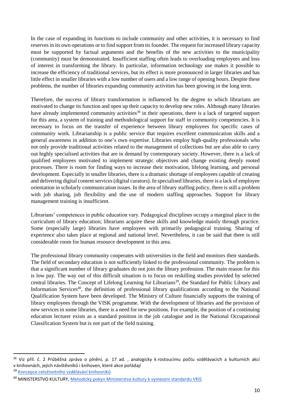In the case of expanding its functions to include community and other activities, it is necessary to find reserves in its own operations or to find support from its founder. The request for increased library capacity must be supported by factual arguments and the benefits of the new activities to the municipality (community) must be demonstrated. Insufficient staffing often leads to overloading employees and loss of interest in transforming the library. In particular, information technology use makes it possible to increase the efficiency of traditional services, but its effect is more pronounced in larger libraries and has little effect in smaller libraries with a low number of users and a low range of opening hours. Despite these problems, the number of libraries expanding community activities has been growing in the long term.

Therefore, the success of library transformation is influenced by the degree to which librarians are motivated to change its function and open up their capacity to develop new roles. Although many libraries have already implemented community activities<sup>38</sup> in their operations, there is a lack of targeted support for this area, a system of training and methodological support for staff in community competencies. It is necessary to focus on the transfer of experience between library employees for specific cases of community work. Librarianship is a public service that requires excellent communication skills and a general awareness in addition to one's own expertise. Libraries employ high-quality professionals who not only provide traditional activities related to the management of collections but are also able to carry out highly specialised activities that are in demand by contemporary society. However, there is a lack of qualified employees motivated to implement strategic objectives and change existing deeply rooted processes. There is room for finding ways to increase their motivation, lifelong learning, and personal development. Especially in smaller libraries, there is a dramatic shortage of employees capable of creating and delivering digital content services (digital curators). In specialised libraries, there is a lack of employee orientation in scholarly communication issues. In the area of library staffing policy, there is still a problem with job sharing, job flexibility and the use of modern staffing approaches. Support for library management training is insufficient.

Librarians' competences in public education vary. Pedagogical disciplines occupy a marginal place in the curriculum of library education; librarians acquire these skills and knowledge mainly through practice. Some (especially large) libraries have employees with primarily pedagogical training. Sharing of experience also takes place at regional and national level. Nevertheless, it can be said that there is still considerable room for human resource development in this area.

The professional library community cooperates with universities in the field and monitors their standards. The field of secondary education is not sufficiently linked to the professional community. The problem is that a significant number of library graduates do not join the library profession. The main reason for this is low pay. The way out of this difficult situation is to focus on reskilling studies provided by selected central libraries. The Concept of Lifelong Learning for Librarians<sup>39</sup>, the Standard for Public Library and Information Services<sup>40</sup>, the definition of professional library qualifications according to the National Qualification System have been developed. The Ministry of Culture financially supports the training of library employees through the VISK programme. With the development of libraries and the provision of new services in some libraries, there is a need for new positions. For example, the position of a continuing education lecturer exists as a standard position in the job catalogue and in the National Occupational Classification System but is not part of the field training.

1

<sup>&</sup>lt;sup>38</sup> Viz příl. č. 2 Průběžná zpráva o plnění, p. 17 ad. , analogicky k rostoucímu počtu vzdělávacích a kulturních akcí v knihovnách, jejich návštěvníků i knihoven, které akce pořádají

<sup>39</sup> [Koncepce celoživotního vzdělávání knihovníků](https://ipk.nkp.cz/docs/celozivotni-vzdelavani/koncepce-czv/view?searchterm=C%C5%BDV+kniho)

<sup>40</sup> MINISTERSTVO KULTURY, Metodický pokyn Ministerstva kultury k vymezení standardu VKIS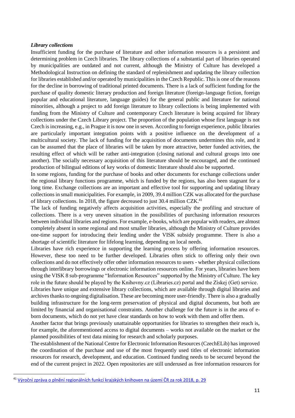#### *Library collections*

Insufficient funding for the purchase of literature and other information resources is a persistent and determining problem in Czech libraries. The library collections of a substantial part of libraries operated by municipalities are outdated and not current, although the Ministry of Culture has developed a Methodological Instruction on defining the standard of replenishment and updating the library collection for libraries established and/or operated by municipalities in the Czech Republic. This is one of the reasons for the decline in borrowing of traditional printed documents. There is a lack of sufficient funding for the purchase of quality domestic literary production and foreign literature (foreign-language fiction, foreign popular and educational literature, language guides) for the general public and literature for national minorities, although a project to add foreign literature to library collections is being implemented with funding from the Ministry of Culture and contemporary Czech literature is being acquired for library collections under the Czech Library project. The proportion of the population whose first language is not Czech is increasing, e.g., in Prague it is now one in seven. According to foreign experience, public libraries are particularly important integration points with a positive influence on the development of a multicultural society. The lack of funding for the acquisition of documents undermines this role, and it can be assumed that the place of libraries will be taken by more attractive, better funded activities, the resulting effect of which will be rather anti-integration (closing national and cultural groups into one another). The socially necessary acquisition of this literature should be encouraged, and the continued production of bilingual editions of key works of domestic literature should also be supported.

In some regions, funding for the purchase of books and other documents for exchange collections under the regional library functions programme, which is funded by the regions, has also been stagnant for a long time. Exchange collections are an important and effective tool for supporting and updating library collections in small municipalities. For example, in 2009, 39.4 million CZK was allocated for the purchase of library collections. In 2018, the figure decreased to just 30.4 million CZK.<sup>41</sup>

The lack of funding negatively affects acquisition activities, especially the profiling and structure of collections. There is a very uneven situation in the possibilities of purchasing information resources between individual libraries and regions. For example, e-books, which are popular with readers, are almost completely absent in some regional and most smaller libraries, although the Ministry of Culture provides one-time support for introducing their lending under the VISK subsidy programme. There is also a shortage of scientific literature for lifelong learning, depending on local needs.

Libraries have rich experience in supporting the learning process by offering information resources. However, these too need to be further developed. Libraries often stick to offering only their own collections and do not effectively offer other information resources to users - whether physical collections through interlibrary borrowings or electronic information resources online. For years, libraries have been using the VISK 8 sub-programme "Information Resources" supported by the Ministry of Culture. The key role in the future should be played by the Knihovny.cz (Libraries.cz) portal and the Získej (Get) service.

Libraries have unique and extensive library collections, which are available through digital libraries and archives thanks to ongoing digitalisation. These are becoming more user-friendly. There is also a gradually building infrastructure for the long-term preservation of physical and digital documents, but both are limited by financial and organisational constraints. Another challenge for the future is in the area of eborn documents, which do not yet have clear standards on how to work with them and offer them.

Another factor that brings previously unattainable opportunities for libraries to strengthen their reach is, for example, the aforementioned access to digital documents – works not available on the market or the planned possibilities of text data mining for research and scholarly purposes.

The establishment of the National Centre for Electronic Information Resources (CzechELib) has improved the coordination of the purchase and use of the most frequently used titles of electronic information resources for research, development, and education. Continued funding needs to be secured beyond the end of the current project in 2022. Open repositories are still underused as free information resources for

1

<sup>41</sup> [Výroční zpráva o plnění regionálních funkcí krajských knihoven na území ČR za rok 2018,](https://ipk.nkp.cz/programy-podpory/regionalni-funkce-verejnych-knihoven/vyrocni-zpravy) p. 29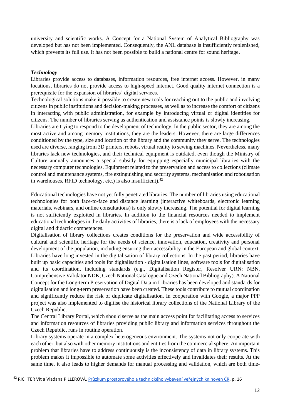university and scientific works. A Concept for a National System of Analytical Bibliography was developed but has not been implemented. Consequently, the ANL database is insufficiently replenished, which prevents its full use. It has not been possible to build a national centre for sound heritage.

### *Technology*

1

Libraries provide access to databases, information resources, free internet access. However, in many locations, libraries do not provide access to high-speed internet. Good quality internet connection is a prerequisite for the expansion of libraries' digital services.

Technological solutions make it possible to create new tools for reaching out to the public and involving citizens in public institutions and decision-making processes, as well as to increase the comfort of citizens in interacting with public administration, for example by introducing virtual or digital identities for citizens. The number of libraries serving as authentication and assistance points is slowly increasing.

Libraries are trying to respond to the development of technology. In the public sector, they are among the most active and among memory institutions, they are the leaders. However, there are large differences conditioned by the type, size and location of the library and the community they serve. The technologies used are diverse, ranging from 3D printers, robots, virtual reality to sewing machines. Nevertheless, many libraries lack new technologies, and their technical equipment is outdated, even though the Ministry of Culture annually announces a special subsidy for equipping especially municipal libraries with the necessary computer technologies. Equipment related to the preservation and access to collections (climate control and maintenance systems, fire extinguishing and security systems, mechanisation and robotisation in warehouses, RFID technology, etc.) is also insufficient). $42$ 

Educational technologies have not yet fully penetrated libraries. The number of libraries using educational technologies for both face-to-face and distance learning (interactive whiteboards, electronic learning materials, webinars, and online consultations) is only slowly increasing. The potential for digital learning is not sufficiently exploited in libraries. In addition to the financial resources needed to implement educational technologies in the daily activities of libraries, there is a lack of employees with the necessary digital and didactic competences.

Digitalisation of library collections creates conditions for the preservation and wide accessibility of cultural and scientific heritage for the needs of science, innovation, education, creativity and personal development of the population, including ensuring their accessibility in the European and global context. Libraries have long invested in the digitalisation of library collections. In the past period, libraries have built up basic capacities and tools for digitalisation - digitalisation lines, software tools for digitalisation and its coordination, including standards (e.g., Digitalisation Register, Resolver URN: NBN, Comprehensive Validator NDK, Czech National Catalogue and Czech National Bibliography). A National Concept for the Long-term Preservation of Digital Data in Libraries has been developed and standards for digitalisation and long-term preservation have been created. These tools contribute to mutual coordination and significantly reduce the risk of duplicate digitalisation. In cooperation with Google, a major PPP project was also implemented to digitise the historical library collections of the National Library of the Czech Republic.

The Central Library Portal, which should serve as the main access point for facilitating access to services and information resources of libraries providing public library and information services throughout the Czech Republic, runs in routine operation.

Library systems operate in a complex heterogeneous environment. The systems not only cooperate with each other, but also with other memory institutions and entities from the commercial sphere. An important problem that libraries have to address continuously is the inconsistency of data in library systems. This problem makes it impossible to automate some activities effectively and invalidates their results. At the same time, it also leads to higher demands for manual processing and validation, which are both time-

<sup>42</sup> RICHTER Vít a Vladana PILLEROVÁ. [Průzkum prostorového a technického vybavení veřejných knihoven ČR](https://ipk.nkp.cz/docs/Zprava_Prostor_2016.pdf), p. 16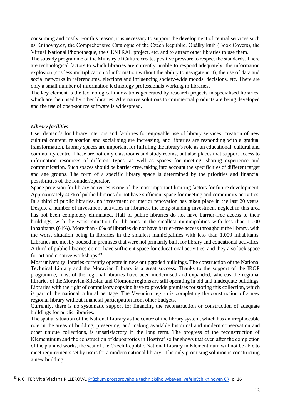consuming and costly. For this reason, it is necessary to support the development of central services such as Knihovny.cz, the Comprehensive Catalogue of the Czech Republic, Obálky knih (Book Covers), the Virtual National Phonotheque, the CENTRAL project, etc. and to attract other libraries to use them.

The subsidy programme of the Ministry of Culture creates positive pressure to respect the standards. There are technological factors to which libraries are currently unable to respond adequately: the information explosion (costless multiplication of information without the ability to navigate in it), the use of data and social networks in referendums, elections and influencing society-wide moods, decisions, etc. There are only a small number of information technology professionals working in libraries.

The key element is the technological innovations generated by research projects in specialised libraries, which are then used by other libraries. Alternative solutions to commercial products are being developed and the use of open-source software is widespread.

### *Library facilities*

1

User demands for library interiors and facilities for enjoyable use of library services, creation of new cultural content, relaxation and socialising are increasing, and libraries are responding with a gradual transformation. Library spaces are important for fulfilling the library's role as an educational, cultural and community centre. These are not only classrooms and study rooms, but also places that support access to information resources of different types, as well as spaces for meeting, sharing experience and communication. Such spaces should be barrier-free, taking into account the specificities of different target and age groups. The form of a specific library space is determined by the priorities and financial possibilities of the founder/operator.

Space provision for library activities is one of the most important limiting factors for future development. Approximately 40% of public libraries do not have sufficient space for meeting and community activities. In a third of public libraries, no investment or interior renovation has taken place in the last 20 years. Despite a number of investment activities in libraries, the long-standing investment neglect in this area has not been completely eliminated. Half of public libraries do not have barrier-free access to their buildings, with the worst situation for libraries in the smallest municipalities with less than 1,000 inhabitants (61%). More than 40% of libraries do not have barrier-free access throughout the library, with the worst situation being in libraries in the smallest municipalities with less than 1,000 inhabitants. Libraries are mostly housed in premises that were not primarily built for library and educational activities. A third of public libraries do not have sufficient space for educational activities, and they also lack space for art and creative workshops.<sup>43</sup>

Most university libraries currently operate in new or upgraded buildings. The construction of the National Technical Library and the Moravian Library is a great success. Thanks to the support of the IROP programme, most of the regional libraries have been modernised and expanded, whereas the regional libraries of the Moravian-Silesian and Olomouc regions are still operating in old and inadequate buildings. Libraries with the right of compulsory copying have to provide premises for storing this collection, which is part of the national cultural heritage. The Vysočina region is completing the construction of a new regional library without financial participation from other budgets.

Currently, there is no systematic support for financing the reconstruction or construction of adequate buildings for public libraries.

The spatial situation of the National Library as the centre of the library system, which has an irreplaceable role in the areas of building, preserving, and making available historical and modern conservation and other unique collections, is unsatisfactory in the long term. The progress of the reconstruction of Klementinum and the construction of depositories in Hostivař so far shows that even after the completion of the planned works, the seat of the Czech Republic National Library in Klementinum will not be able to meet requirements set by users for a modern national library. The only promising solution is constructing a new building.

<sup>&</sup>lt;sup>43</sup> RICHTER Vít a Vladana PILLEROVÁ. [Průzkum prostorového a technického vybavení veřejných knihoven ČR](https://ipk.nkp.cz/docs/Zprava_Prostor_2016.pdf), p. 16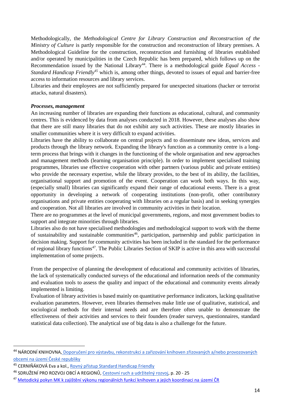Methodologically, the *Methodological Centre for Library Construction and Reconstruction of the Ministry of Culture* is partly responsible for the construction and reconstruction of library premises. A Methodological Guideline for the construction, reconstruction and furnishing of libraries established and/or operated by municipalities in the Czech Republic has been prepared, which follows up on the Recommendation issued by the National Library<sup>44</sup>. There is a methodological guide *Equal Access* -*Standard Handicap Friendly<sup>45</sup>* which is, among other things, devoted to issues of equal and barrier-free access to information resources and library services.

Libraries and their employees are not sufficiently prepared for unexpected situations (hacker or terrorist attacks, natural disasters).

### *Processes, management*

An increasing number of libraries are expanding their functions as educational, cultural, and community centres. This is evidenced by data from analyses conducted in 2018. However, these analyses also show that there are still many libraries that do not exhibit any such activities. These are mostly libraries in smaller communities where it is very difficult to expand activities.

Libraries have the ability to collaborate on central projects and to disseminate new ideas, services and products through the library network. Expanding the library's function as a community centre is a longterm process that brings with it changes in the functioning of the whole organisation and new approaches and management methods (learning organisation principle). In order to implement specialised training programmes, libraries use effective cooperation with other partners (various public and private entities) who provide the necessary expertise, while the library provides, to the best of its ability, the facilities, organisational support and promotion of the event. Cooperation can work both ways. In this way, (especially small) libraries can significantly expand their range of educational events. There is a great opportunity in developing a network of cooperating institutions (non-profit, other contributory organisations and private entities cooperating with libraries on a regular basis) and in seeking synergies and cooperation. Not all libraries are involved in community activities in their location.

There are no programmes at the level of municipal governments, regions, and most government bodies to support and integrate minorities through libraries.

Libraries also do not have specialised methodologies and methodological support to work with the theme of sustainability and sustainable communities<sup>46</sup>, participation, partnership and public participation in decision making. Support for community activities has been included in the standard for the performance of regional library functions<sup>47</sup>. The Public Libraries Section of SKIP is active in this area with successful implementation of some projects.

From the perspective of planning the development of educational and community activities of libraries, the lack of systematically conducted surveys of the educational and information needs of the community and evaluation tools to assess the quality and impact of the educational and community events already implemented is limiting.

Evaluation of library activities is based mainly on quantitative performance indicators, lacking qualitative evaluation parameters. However, even libraries themselves make little use of qualitative, statistical, and sociological methods for their internal needs and are therefore often unable to demonstrate the effectiveness of their activities and services to their founders (reader surveys, questionnaires, standard statistical data collection). The analytical use of big data is also a challenge for the future.

1

<sup>44</sup> NÁRODNÍ KNIHOVNA, Doporučení pro výstavbu, rekonstrukci a zařizování knihoven zřizovaných a/nebo provozovaných [obcemi na území České repub](https://ipk.nkp.cz/docs/Doporuceni_Vystavba_07_05_2012DEF.pdf)liky

<sup>&</sup>lt;sup>45</sup> CERNIŇÁKOVÁ Eva a kol.[, Rovný přístup Standard Handicap Friendly](https://ipk.nkp.cz/docs/aktualizovana-verze-publikace-rovny-pristup.-standard-handicap-friendly-2019)

<sup>46</sup> SDRUŽENÍ PRO ROZVOJ OBCÍ A REGIONŮ, [Cestovní ruch a udržitelný rozvoj](http://www.mmr.cz/getmedia/b973337b-cccc-42a3-9d19-2b23356dcff2/GetFile15_1.pdf), p. 20 - 25

<sup>47</sup> [Metodický pokyn MK k zajištění výkonu regionálních funkcí knihoven a jejich koordinaci na území ČR](https://www.mkcr.cz/doc/cms_library/2019_metodicky_pokyn_mk_rf-11474.pdf)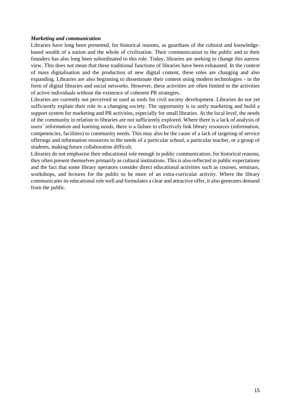#### *Marketing and communication*

Libraries have long been presented, for historical reasons, as guardians of the cultural and knowledgebased wealth of a nation and the whole of civilisation. Their communication to the public and to their founders has also long been subordinated to this role. Today, libraries are seeking to change this narrow view. This does not mean that these traditional functions of libraries have been exhausted. In the context of mass digitalisation and the production of new digital content, these roles are changing and also expanding. Libraries are also beginning to disseminate their content using modern technologies - in the form of digital libraries and social networks. However, these activities are often limited to the activities of active individuals without the existence of coherent PR strategies.

Libraries are currently not perceived or used as tools for civil society development. Libraries do not yet sufficiently explain their role in a changing society. The opportunity is to unify marketing and build a support system for marketing and PR activities, especially for small libraries. At the local level, the needs of the community in relation to libraries are not sufficiently explored. Where there is a lack of analysis of users' information and learning needs, there is a failure to effectively link library resources (information, competencies, facilities) to community needs. This may also be the cause of a lack of targeting of service offerings and information resources to the needs of a particular school, a particular teacher, or a group of students, making future collaboration difficult.

Libraries do not emphasise their educational role enough in public communication; for historical reasons, they often present themselves primarily as cultural institutions. This is also reflected in public expectations and the fact that some library operators consider direct educational activities such as courses, seminars, workshops, and lectures for the public to be more of an extra-curricular activity. Where the library communicates its educational role well and formulates a clear and attractive offer, it also generates demand from the public.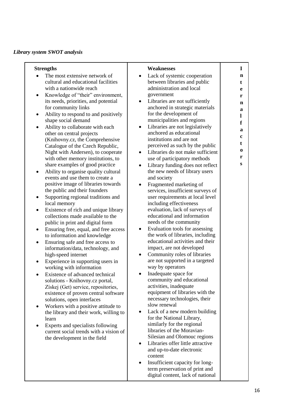### *Library system SWOT analysis*

| <b>Strengths</b>                                                             | <b>Weaknesses</b>                                                              | I      |
|------------------------------------------------------------------------------|--------------------------------------------------------------------------------|--------|
| The most extensive network of                                                | Lack of systemic cooperation<br>$\bullet$                                      | n      |
| cultural and educational facilities                                          | between libraries and public                                                   | t      |
| with a nationwide reach                                                      | administration and local                                                       | e      |
| Knowledge of "their" environment,<br>٠                                       | government                                                                     | r      |
| its needs, priorities, and potential<br>for community links                  | Libraries are not sufficiently<br>$\bullet$<br>anchored in strategic materials | n      |
| Ability to respond to and positively<br>٠                                    | for the development of                                                         | a      |
| shape social demand                                                          | municipalities and regions                                                     | 1      |
| Ability to collaborate with each<br>$\bullet$                                | Libraries are not legislatively<br>$\bullet$                                   | f      |
| other on central projects                                                    | anchored as educational                                                        | a      |
| (Knihovny.cz, the Comprehensive                                              | institutions and are not                                                       | c      |
| Catalogue of the Czech Republic,                                             | perceived as such by the public                                                | t      |
| Night with Andersen), to cooperate                                           | Libraries do not make sufficient<br>$\bullet$                                  | 0      |
| with other memory institutions, to                                           | use of participatory methods                                                   | r<br>S |
| share examples of good practice                                              | Library funding does not reflect<br>$\bullet$                                  |        |
| Ability to organise quality cultural<br>٠<br>events and use them to create a | the new needs of library users<br>and society                                  |        |
| positive image of libraries towards                                          | Fragmented marketing of<br>$\bullet$                                           |        |
| the public and their founders                                                | services, insufficient surveys of                                              |        |
| Supporting regional traditions and<br>٠                                      | user requirements at local level                                               |        |
| local memory                                                                 | including effectiveness                                                        |        |
| Existence of rich and unique library<br>٠                                    | evaluation, lack of surveys of                                                 |        |
| collections made available to the                                            | educational and information                                                    |        |
| public in print and digital form                                             | needs of the community                                                         |        |
| Ensuring free, equal, and free access<br>٠                                   | Evaluation tools for assessing<br>$\bullet$                                    |        |
| to information and knowledge                                                 | the work of libraries, including<br>educational activities and their           |        |
| Ensuring safe and free access to<br>٠<br>information/data, technology, and   | impact, are not developed                                                      |        |
| high-speed internet                                                          | Community roles of libraries<br>$\bullet$                                      |        |
| Experience in supporting users in<br>٠                                       | are not supported in a targeted                                                |        |
| working with information                                                     | way by operators                                                               |        |
| Existence of advanced technical<br>$\bullet$                                 | Inadequate space for<br>$\bullet$                                              |        |
| solutions - Knihovny.cz portal,                                              | community and educational                                                      |        |
| Získej (Get) service, repositories,                                          | activities, inadequate                                                         |        |
| existence of proven central software                                         | equipment of libraries with the<br>necessary technologies, their               |        |
| solutions, open interfaces<br>Workers with a positive attitude to<br>٠       | slow renewal                                                                   |        |
| the library and their work, willing to                                       | Lack of a new modern building<br>٠                                             |        |
| learn                                                                        | for the National Library,                                                      |        |
| Experts and specialists following<br>$\bullet$                               | similarly for the regional                                                     |        |
| current social trends with a vision of                                       | libraries of the Moravian-                                                     |        |
| the development in the field                                                 | Silesian and Olomouc regions                                                   |        |
|                                                                              | Libraries offer little attractive<br>٠                                         |        |
|                                                                              | and up-to-date electronic                                                      |        |
|                                                                              | content<br>Insufficient capacity for long-<br>٠                                |        |
|                                                                              | term preservation of print and                                                 |        |
|                                                                              | digital content, lack of national                                              |        |
|                                                                              |                                                                                |        |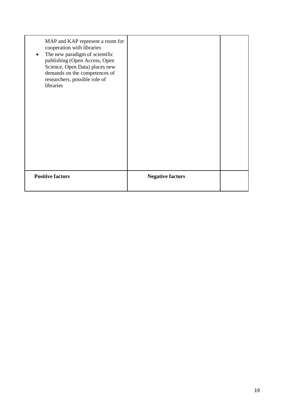| MAP and KAP represent a room for<br>cooperation with libraries<br>The new paradigm of scientific<br>$\bullet$<br>publishing (Open Access, Open<br>Science, Open Data) places new<br>demands on the competences of<br>researchers, possible role of<br>libraries |                         |  |
|-----------------------------------------------------------------------------------------------------------------------------------------------------------------------------------------------------------------------------------------------------------------|-------------------------|--|
| <b>Positive factors</b>                                                                                                                                                                                                                                         | <b>Negative factors</b> |  |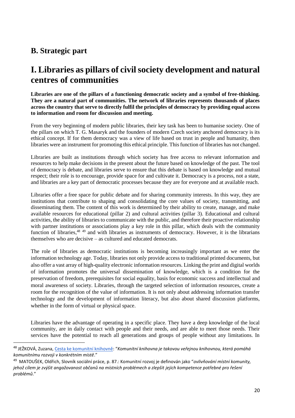### **B. Strategic part**

**.** 

# **I. Libraries as pillars of civil society development and natural centres of communities**

**Libraries are one of the pillars of a functioning democratic society and a symbol of free-thinking. They are a natural part of communities. The network of libraries represents thousands of places across the country that serve to directly fulfil the principles of democracy by providing equal access to information and room for discussion and meeting.**

From the very beginning of modern public libraries, their key task has been to humanise society. One of the pillars on which T. G. Masaryk and the founders of modern Czech society anchored democracy is its ethical concept. If for them democracy was a view of life based on trust in people and humanity, then libraries were an instrument for promoting this ethical principle. This function of libraries has not changed.

Libraries are built as institutions through which society has free access to relevant information and resources to help make decisions in the present about the future based on knowledge of the past. The tool of democracy is debate, and libraries serve to ensure that this debate is based on knowledge and mutual respect; their role is to encourage, provide space for and cultivate it. Democracy is a process, not a state, and libraries are a key part of democratic processes because they are for everyone and at available reach.

Libraries offer a free space for public debate and for sharing community interests. In this way, they are institutions that contribute to shaping and consolidating the core values of society, transmitting, and disseminating them. The content of this work is determined by their ability to create, manage, and make available resources for educational (pillar 2) and cultural activities (pillar 3). Educational and cultural activities, the ability of libraries to communicate with the public, and therefore their proactive relationship with partner institutions or associations play a key role in this pillar, which deals with the community function of libraries, <sup>48</sup> <sup>49</sup> and with libraries as instruments of democracy. However, it is the librarians themselves who are decisive – as cultured and educated democrats.

The role of libraries as democratic institutions is becoming increasingly important as we enter the information technology age. Today, libraries not only provide access to traditional printed documents, but also offer a vast array of high-quality electronic information resources. Linking the print and digital worlds of information promotes the universal dissemination of knowledge, which is a condition for the preservation of freedom, prerequisites for social equality, basis for economic success and intellectual and moral awareness of society. Libraries, through the targeted selection of information resources, create a room for the recognition of the value of information. It is not only about addressing information transfer technology and the development of information literacy, but also about shared discussion platforms, whether in the form of virtual or physical space.

Libraries have the advantage of operating in a specific place. They have a deep knowledge of the local community, are in daily contact with people and their needs, and are able to meet those needs. Their services have the potential to reach all generations and groups of people without any limitations. In

<sup>48</sup> JEŽKOVÁ, Zuzana[, Cesta ke komunitní knihovně:](http://duha.mzk.cz/clanky/cesta-ke-komunitni-knihovne) "*Komunitní knihovna je takovou veřejnou knihovnou, která pomáhá komunitnímu rozvoji v konkrétním místě*."

<sup>49</sup> MATOUŠEK, Oldřich, Slovník sociální práce, p. 87.: Komunitní rozvoj je definován jako "*ovlivňování místní komunity, jehož cílem je zvýšit angažovanost občanů na místních problémech a zlepšit jejich kompetence potřebné pro řešení problémů*."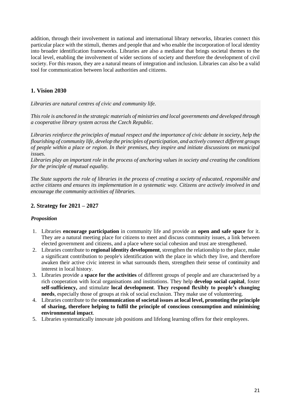addition, through their involvement in national and international library networks, libraries connect this particular place with the stimuli, themes and people that and who enable the incorporation of local identity into broader identification frameworks. Libraries are also a mediator that brings societal themes to the local level, enabling the involvement of wider sections of society and therefore the development of civil society. For this reason, they are a natural means of integration and inclusion. Libraries can also be a valid tool for communication between local authorities and citizens.

### **1. Vision 2030**

*Libraries are natural centres of civic and community life.* 

*This role is anchored in the strategic materials of ministries and local governments and developed through a cooperative library system across the Czech Republic.* 

*Libraries reinforce the principles of mutual respect and the importance of civic debate in society, help the flourishing of community life, develop the principles of participation, and actively connect different groups of people within a place or region. In their premises, they inspire and initiate discussions on municipal issues.*

*Libraries play an important role in the process of anchoring values in society and creating the conditions for the principle of mutual equality.* 

*The State supports the role of libraries in the process of creating a society of educated, responsible and active citizens and ensures its implementation in a systematic way. Citizens are actively involved in and encourage the community activities of libraries.*

### **2. Strategy for 2021 – 2027**

### *Proposition*

- 1. Libraries **encourage participation** in community life and provide an **open and safe space** for it. They are a natural meeting place for citizens to meet and discuss community issues, a link between elected government and citizens, and a place where social cohesion and trust are strengthened.
- 2. Libraries contribute to **regional identity development**, strengthen the relationship to the place, make a significant contribution to people's identification with the place in which they live, and therefore awaken their active civic interest in what surrounds them, strengthen their sense of continuity and interest in local history.
- 3. Libraries provide a **space for the activities** of different groups of people and are characterised by a rich cooperation with local organisations and institutions. They help **develop social capital**, foster **self-sufficiency,** and stimulate **local development**. **They respond flexibly to people's changing needs**, especially those of groups at risk of social exclusion. They make use of volunteering.
- 4. Libraries contribute to the **communication of societal issues at local level, promoting the principle of sharing, therefore helping to fulfil the principle of conscious consumption and minimising environmental impact**.
- 5. Libraries systematically innovate job positions and lifelong learning offers for their employees.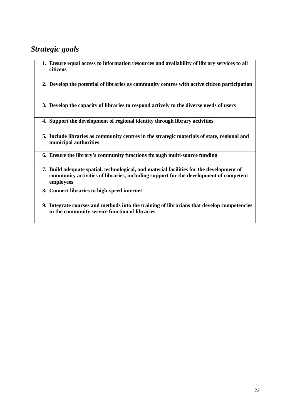### *Strategic goals*

- **1. Ensure equal access to information resources and availability of library services to all citizens**
- **2. Develop the potential of libraries as community centres with active citizen participation**
- **3. Develop the capacity of libraries to respond actively to the diverse needs of users**
- **4. Support the development of regional identity through library activities**
- **5. Include libraries as community centres in the strategic materials of state, regional and municipal authorities**
- **6. Ensure the library's community functions through multi-source funding**
- **7. Build adequate spatial, technological, and material facilities for the development of community activities of libraries, including support for the development of competent employees**
- **8. Connect libraries to high-speed internet**
- **9. Integrate courses and methods into the training of librarians that develop competencies in the community service function of libraries**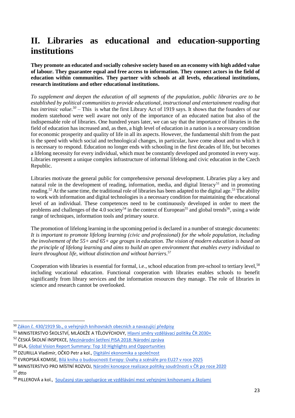# **II. Libraries as educational and education-supporting institutions**

**They promote an educated and socially cohesive society based on an economy with high added value of labour. They guarantee equal and free access to information. They connect actors in the field of education within communities. They partner with schools at all levels, educational institutions, research institutions and other educational institutions.** 

*To supplement and deepen the education of all segments of the population, public libraries are to be established by political communities to provide educational, instructional and entertainment reading that has intrinsic value. 50* – This is what the first Library Act of 1919 says. It shows that the founders of our modern statehood were well aware not only of the importance of an educated nation but also of the indispensable role of libraries. One hundred years later, we can say that the importance of libraries in the field of education has increased and, as then, a high level of education in a nation is a necessary condition for economic prosperity and quality of life in all its aspects. However, the fundamental shift from the past is the speed with which social and technological changes, in particular, have come about and to which it is necessary to respond. Education no longer ends with schooling in the first decades of life, but becomes a lifelong necessity for every individual, which must be constantly developed and promoted in every way. Libraries represent a unique complex infrastructure of informal lifelong and civic education in the Czech Republic.

Libraries motivate the general public for comprehensive personal development. Libraries play a key and natural role in the development of reading, information, media, and digital literacy<sup>51</sup> and in promoting reading.<sup>52</sup> At the same time, the traditional role of libraries has been adapted to the digital age.<sup>53</sup> The ability to work with information and digital technologies is a necessary condition for maintaining the educational level of an individual. These competences need to be continuously developed in order to meet the problems and challenges of the 4.0 society<sup>54</sup> in the context of European<sup>55</sup> and global trends<sup>56</sup>, using a wide range of techniques, information tools and primary source.

The promotion of lifelong learning in the upcoming period is declared in a number of strategic documents: *It is important to promote lifelong learning (civic and professional) for the whole population, including the involvement of the 55+ and 65+ age groups in education. The vision of modern education is based on the principle of lifelong learning and aims to build an open environment that enables every individual to learn throughout life, without distinction and without barriers.* 57

Cooperation with libraries is essential for formal, i.e., school education from pre-school to tertiary level,<sup>58</sup> including vocational education. Functional cooperation with libraries enables schools to benefit significantly from library services and the information resources they manage. The role of libraries in science and research cannot be overlooked.

**.** 

<sup>&</sup>lt;sup>50</sup> <u>[Zákon č. 430/1919 Sb., o veřejných knihovnách obecních a navazující předpisy](https://ipk.nkp.cz/docs/legislativa/KnihovniZakon_1919.doc)</u>

<sup>&</sup>lt;sup>51</sup> MINISTERSTVO ŠKOLSTVÍ, MLÁDEŽE A TĚLOVÝCHOVY, Hlavní směry [vzdělávací politiky ČR 2030+](http://www.msmt.cz/file/51582/)

<sup>52</sup> ČESKÁ ŠKOLNÍ INSPEKCE, [Mezinárodní šetření PISA 2018: Národní zpráva](https://www.csicr.cz/Csicr/media/Prilohy/PDF_el._publikace/Mezin%c3%a1rodn%c3%ad%20%c5%a1et%c5%99en%c3%ad/PISA_2018_narodni_zprava.pdf)

<sup>&</sup>lt;sup>53</sup> IFLA, [Global Vision Report Summary: Top 10 Highlights and Opportunities](https://www.ifla.org/files/assets/GVMultimedia/publications/04-global-vision-report-summary-english.pdf)

<sup>54</sup> DZURILLA Vladimír, OČKO Petr a kol.[, Digitální ekonomika a společnost](https://www.digitalnicesko.cz/wp-content/uploads/2019/04/03_Program-Digit%C3%A1ln%C3%AD-%C4%8Cesko_Digit%C3%A1ln%C3%AD-ekonomika-a-spole%C4%8Dnost.pdf)

<sup>55</sup> EVROPSKÁ KOMISE, [Bílá kniha o budoucnosti Evropy: Úvahy a scénáře pro EU27 v roce 2025](https://ec.europa.eu/commission/sites/beta-political/files/bila_kniha_o_budoucnosti_evropy_cs.pdf)

<sup>56</sup> MINISTERSTVO PRO MÍSTNÍ ROZVOJ, [Národní koncepce realizace politiky soudržnosti v ČR po roce 2020](https://www.mmr.cz/getmedia/2b17829c-0fba-4077-8e3c-faac0689a9dc/NKR-schvalena-verze.pdf.aspx?ext=.pdf) <sup>57</sup> dtto

<sup>&</sup>lt;sup>58</sup> PILLEROVÁ a kol., [Současný stav spolupráce ve vzdělávání mezi veřejnými knihovnami a školami](https://ipk.nkp.cz/docs/copy_of_ZPRAVA_PRZKUM_KOLY_2019.pdf)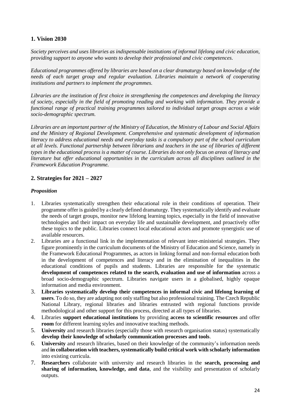### **1. Vision 2030**

*Society perceives and uses libraries as indispensable institutions of informal lifelong and civic education, providing support to anyone who wants to develop their professional and civic competences.* 

*Educational programmes offered by libraries are based on a clear dramaturgy based on knowledge of the needs of each target group and regular evaluation. Libraries maintain a network of cooperating institutions and partners to implement the programmes.*

*Libraries are the institution of first choice in strengthening the competences and developing the literacy of society, especially in the field of promoting reading and working with information. They provide a functional range of practical training programmes tailored to individual target groups across a wide socio-demographic spectrum.*

*Libraries are an important partner of the Ministry of Education, the Ministry of Labour and Social Affairs and the Ministry of Regional Development. Comprehensive and systematic development of information literacy to address educational needs and everyday tasks is a compulsory part of the school curriculum at all levels. Functional partnership between librarians and teachers in the use of libraries of different types in the educational process is a matter of course. Libraries do not only focus on areas of literacy and literature but offer educational opportunities in the curriculum across all disciplines outlined in the Framework Education Programme.*

### **2. Strategies for 2021 – 2027**

### *Proposition*

- 1. Libraries systematically strengthen their educational role in their conditions of operation. Their programme offer is guided by a clearly defined dramaturgy. They systematically identify and evaluate the needs of target groups, monitor new lifelong learning topics, especially in the field of innovative technologies and their impact on everyday life and sustainable development, and proactively offer these topics to the public. Libraries connect local educational actors and promote synergistic use of available resources.
- 2. Libraries are a functional link in the implementation of relevant inter-ministerial strategies. They figure prominently in the curriculum documents of the Ministry of Education and Science, namely in the Framework Educational Programmes, as actors in linking formal and non-formal education both in the development of competences and literacy and in the elimination of inequalities in the educational conditions of pupils and students. Libraries are responsible for the systematic **development of competences related to the search, evaluation and use of information** across a broad socio-demographic spectrum. Libraries navigate users in a globalised, highly opaque information and media environment.
- 3. **Libraries systematically develop their competences in informal civic and lifelong learning of users**. To do so, they are adapting not only staffing but also professional training. The Czech Republic National Library, regional libraries and libraries entrusted with regional functions provide methodological and other support for this process, directed at all types of libraries.
- 4. Libraries **support educational institutions** by providing **access to scientific resources** and offer **room** for different learning styles and innovative teaching methods.
- 5. **University** and research libraries (especially those with research organisation status) systematically **develop their knowledge of scholarly communication processes and tools**.
- 6. **University** and research libraries, based on their knowledge of the community's information needs and **in collaboration with teachers, systematically build critical work with scholarly information**  into existing curricula.
- 7. **Researchers** collaborate with university and research libraries in the **search, processing and sharing of information, knowledge, and data**, and the visibility and presentation of scholarly outputs.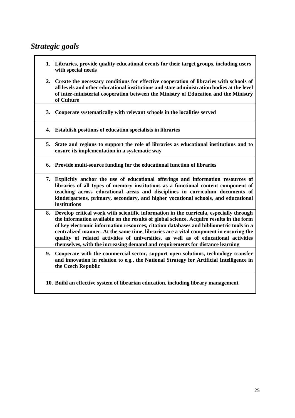### *Strategic goals*

- **1. Libraries, provide quality educational events for their target groups, including users with special needs**
- **2. Create the necessary conditions for effective cooperation of libraries with schools of all levels and other educational institutions and state administration bodies at the level of inter-ministerial cooperation between the Ministry of Education and the Ministry of Culture**
- **3. Cooperate systematically with relevant schools in the localities served**
- **4. Establish positions of education specialists in libraries**
- **5. State and regions to support the role of libraries as educational institutions and to ensure its implementation in a systematic way**
- **6. Provide multi-source funding for the educational function of libraries**
- **7. Explicitly anchor the use of educational offerings and information resources of libraries of all types of memory institutions as a functional content component of teaching across educational areas and disciplines in curriculum documents of kindergartens, primary, secondary, and higher vocational schools, and educational institutions**
- **8. Develop critical work with scientific information in the curricula, especially through the information available on the results of global science. Acquire results in the form of key electronic information resources, citation databases and bibliometric tools in a centralized manner. At the same time, libraries are a vital component in ensuring the quality of related activities of universities, as well as of educational activities themselves, with the increasing demand and requirements for distance learning**
- **9. Cooperate with the commercial sector, support open solutions, technology transfer and innovation in relation to e.g., the National Strategy for Artificial Intelligence in the Czech Republic**
- **10. Build an effective system of librarian education, including library management**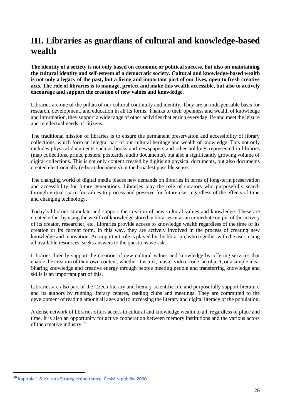# **III. Libraries as guardians of cultural and knowledge-based wealth**

**The identity of a society is not only based on economic or political success, but also on maintaining the cultural identity and self-esteem of a democratic society. Cultural and knowledge-based wealth is not only a legacy of the past, but a living and important part of our lives, open to fresh creative acts. The role of libraries is to manage, protect and make this wealth accessible, but also to actively encourage and support the creation of new values and knowledge.**

Libraries are one of the pillars of our cultural continuity and identity. They are an indispensable basis for research, development, and education in all its forms. Thanks to their openness and wealth of knowledge and information, they support a wide range of other activities that enrich everyday life and meet the leisure and intellectual needs of citizens.

The traditional mission of libraries is to ensure the permanent preservation and accessibility of library collections, which form an integral part of our cultural heritage and wealth of knowledge. This not only includes physical documents such as books and newspapers and other holdings represented in libraries (map collections, prints, posters, postcards, audio documents), but also a significantly growing volume of digital collections. This is not only content created by digitising physical documents, but also documents created electronically (e-born documents) in the broadest possible sense.

The changing world of digital media places new demands on libraries in terms of long-term preservation and accessibility for future generations. Libraries play the role of curators who purposefully search through virtual space for values to process and preserve for future use, regardless of the effects of time and changing technology.

Today's libraries stimulate and support the creation of new cultural values and knowledge. These are created either by using the wealth of knowledge stored in libraries or as an immediate output of the activity of its creator, researcher, etc. Libraries provide access to knowledge wealth regardless of the time of its creation or its current form. In this way, they are actively involved in the process of creating new knowledge and innovation. An important role is played by the librarian, who together with the user, using all available resources, seeks answers to the questions we ask.

Libraries directly support the creation of new cultural values and knowledge by offering services that enable the creation of their own content, whether it is text, music, video, code, an object, or a simple idea. Sharing knowledge and creative energy through people meeting people and transferring knowledge and skills is an important part of this.

Libraries are also part of the Czech literary and literary-scientific life and purposefully support literature and its authors by running literary centres, reading clubs and meetings. They are committed to the development of reading among all ages and to increasing the literary and digital literacy of the population.

A dense network of libraries offers access to cultural and knowledge wealth to all, regardless of place and time. It is also an opportunity for active cooperation between memory institutions and the various actors of the creative industry. 59

**.** 

<sup>59</sup> K[apitola 1.6. Kultura Strategického rámce: Česká republika 2030](https://www.cr2030.cz/strategie/kapitoly-strategie/lide-a-spolecnost/1-6-kultura/)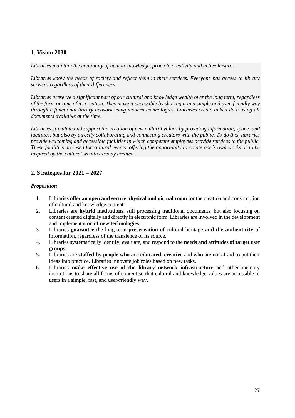### **1. Vision 2030**

*Libraries maintain the continuity of human knowledge, promote creativity and active leisure.* 

*Libraries know the needs of society and reflect them in their services. Everyone has access to library services regardless of their differences.* 

*Libraries preserve a significant part of our cultural and knowledge wealth over the long term, regardless of the form or time of its creation. They make it accessible by sharing it in a simple and user-friendly way through a functional library network using modern technologies. Libraries create linked data using all documents available at the time.* 

*Libraries stimulate and support the creation of new cultural values by providing information, space, and facilities, but also by directly collaborating and connecting creators with the public. To do this, libraries provide welcoming and accessible facilities in which competent employees provide services to the public. These facilities are used for cultural events, offering the opportunity to create one's own works or to be inspired by the cultural wealth already created.*

### **2. Strategies for 2021 – 2027**

### *Proposition*

- 1. Libraries offer **an open and secure physical and virtual room** for the creation and consumption of cultural and knowledge content.
- 2. Libraries are **hybrid institutions**, still processing traditional documents, but also focusing on content created digitally and directly in electronic form. Libraries are involved in the development and implementation of **new technologies**.
- 3. Libraries **guarantee** the long-term **preservation** of cultural heritage **and the authenticity** of information, regardless of the transience of its source.
- 4. Libraries systematically identify, evaluate, and respond to the **needs and attitudes of target** user **groups**.
- 5. Libraries are **staffed by people who are educated, creative** and who are not afraid to put their ideas into practice. Libraries innovate job roles based on new tasks.
- 6. Libraries **make effective use of the library network infrastructure** and other memory institutions to share all forms of content so that cultural and knowledge values are accessible to users in a simple, fast, and user-friendly way.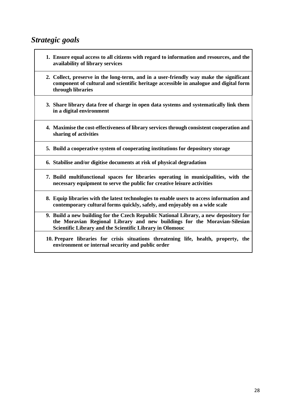### *Strategic goals*

- **1. Ensure equal access to all citizens with regard to information and resources, and the availability of library services**
- **2. Collect, preserve in the long-term, and in a user-friendly way make the significant component of cultural and scientific heritage accessible in analogue and digital form through libraries**
- **3. Share library data free of charge in open data systems and systematically link them in a digital environment**
- **4. Maximise the cost-effectiveness of library services through consistent cooperation and sharing of activities**
- **5. Build a cooperative system of cooperating institutions for depository storage**
- **6. Stabilise and/or digitise documents at risk of physical degradation**
- **7. Build multifunctional spaces for libraries operating in municipalities, with the necessary equipment to serve the public for creative leisure activities**
- **8. Equip libraries with the latest technologies to enable users to access information and contemporary cultural forms quickly, safely, and enjoyably on a wide scale**
- **9. Build a new building for the Czech Republic National Library, a new depository for the Moravian Regional Library and new buildings for the Moravian-Silesian Scientific Library and the Scientific Library in Olomouc**
- **10. Prepare libraries for crisis situations threatening life, health, property, the environment or internal security and public order**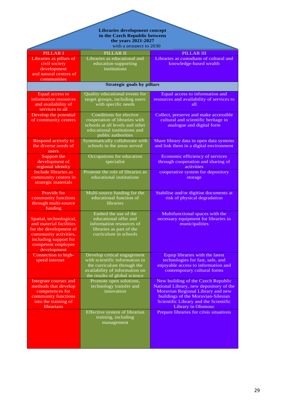|                                                                                                                                                                     | <b>Libraries development concept</b><br>in the Czech Republic between<br>the years 2021-2027                                                                   |                                                                                                                                                                                                                         |  |  |  |  |  |
|---------------------------------------------------------------------------------------------------------------------------------------------------------------------|----------------------------------------------------------------------------------------------------------------------------------------------------------------|-------------------------------------------------------------------------------------------------------------------------------------------------------------------------------------------------------------------------|--|--|--|--|--|
| with a prospect to 2030                                                                                                                                             |                                                                                                                                                                |                                                                                                                                                                                                                         |  |  |  |  |  |
| <b>PILLAR I</b><br>Libraries as pillars of<br>civil society<br>development<br>and natural centres of<br>communities                                                 | PILLAR II<br>Libraries as educational and<br>education-supporting<br>institutions                                                                              | <b>PILLAR III</b><br>Libraries as custodians of cultural and<br>knowledge-based wealth                                                                                                                                  |  |  |  |  |  |
| <b>Strategic goals by pillars</b>                                                                                                                                   |                                                                                                                                                                |                                                                                                                                                                                                                         |  |  |  |  |  |
| Equal access to<br>information resources<br>and availability of<br>services to all                                                                                  | Quality educational events for<br>target groups, including users<br>with specific needs                                                                        | Equal access to information and<br>resources and availability of services to<br>all                                                                                                                                     |  |  |  |  |  |
| Develop the potential<br>of community centres                                                                                                                       | Conditions for elective<br>cooperation of libraries with<br>schools at all levels and other<br>educational institutions and<br>public authorities              | Collect, preserve and make accessible<br>cultural and scientific heritage in<br>analogue and digital form                                                                                                               |  |  |  |  |  |
| Respond actively to<br>the diverse needs of<br>users                                                                                                                | Systematically collaborate with<br>schools in the areas served                                                                                                 | Share library data in open data systems<br>and link them in a digital environment                                                                                                                                       |  |  |  |  |  |
| Support the<br>development of<br>regional identity                                                                                                                  | Occupations for education<br>specialist                                                                                                                        | Economic efficiency of services<br>through cooperation and sharing of<br>activities                                                                                                                                     |  |  |  |  |  |
| Include libraries as<br>community centres in<br>strategic materials                                                                                                 | Promote the role of libraries as<br>educational institutions                                                                                                   | cooperative system for depository<br>storage                                                                                                                                                                            |  |  |  |  |  |
| Provide for<br>community functions<br>through multi-source<br>funding                                                                                               | Multi-source funding for the<br>educational function of<br>libraries                                                                                           | Stabilise and/or digitise documents at<br>risk of physical degradation                                                                                                                                                  |  |  |  |  |  |
| Spatial, technological,<br>and material facilities<br>for the development of<br>community activities,<br>including support for<br>competent employee<br>development | Embed the use of the<br>educational offer and<br>information resources of<br>libraries as part of the<br>curriculum in schools                                 | Multifunctional spaces with the<br>necessary equipment for libraries in<br>municipalities                                                                                                                               |  |  |  |  |  |
| Connection to high-<br>speed internet                                                                                                                               | Develop critical engagement<br>with scientific information in<br>the curriculum through the<br>availability of information on<br>the results of global science | Equip libraries with the latest<br>technologies for fast, safe, and<br>enjoyable access to information and<br>contemporary cultural forms                                                                               |  |  |  |  |  |
| Integrate courses and<br>methods that develop<br>competences for<br>community functions<br>into the training of<br>librarians                                       | Promote open solutions,<br>technology transfer and<br>innovation                                                                                               | New building of the Czech Republic<br>National Library, new depository of the<br>Moravian Regional Library and new<br>buildings of the Moravian-Silesian<br>Scientific Library and the Scientific<br>Library in Olomouc |  |  |  |  |  |
|                                                                                                                                                                     | Effective system of librarian<br>training, including<br>management                                                                                             | Prepare libraries for crisis situations                                                                                                                                                                                 |  |  |  |  |  |

<u>the contract of the contract of the contract of the contract of the contract of the contract of the contract of the contract of the contract of the contract of the contract of the contract of the contract of the contract </u>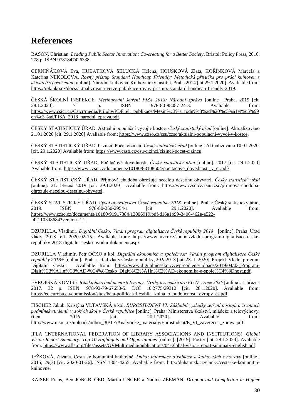### **References**

BASON, Christian. *Leading Public Sector Innovation: Co-creating for a Better Society*. Bristol: Policy Press, 2010. 278 p. ISBN 9781847426338.

CERNIŇÁKOVÁ Eva, HUBATKOVÁ SELUCKÁ Helena, HOUŠKOVÁ Zlata, KOŘÍNKOVÁ Marcela a Kateřina NEKOLOVÁ. *Rovný přístup Standard Handicap Friendly: Metodická příručka pro práci knihoven s uživateli s postižením* [online]. Národní knihovna. Knihovnický institut, Praha 2014 [cit.29.1.2020]. Avaliable from: [https://ipk.nkp.cz/docs/aktualizovana-verze-publikace-rovny-pristup.-standard-handicap-friendly-2019.](https://ipk.nkp.cz/docs/aktualizovana-verze-publikace-rovny-pristup.-standard-handicap-friendly-2019)

ČESKÁ ŠKOLNÍ INSPEKCE. *Mezinárodní šetření PISA 2018: Národní zpráva* [online]. Praha, 2019 [cit. 28.1.2020]. 71 p. ISBN 978-80-88087-24-3. Avaliable from: [https://www.csicr.cz/Csicr/media/Prilohy/PDF\\_el.\\_publikace/Mezin%c3%a1rodn%c3%ad%20%c5%a1et%c5%99](https://www.csicr.cz/Csicr/media/Prilohy/PDF_el._publikace/Mezin%c3%a1rodn%c3%ad%20%c5%a1et%c5%99en%c3%ad/PISA_2018_narodni_zprava.pdf) [en%c3%ad/PISA\\_2018\\_narodni\\_zprava.pdf.](https://www.csicr.cz/Csicr/media/Prilohy/PDF_el._publikace/Mezin%c3%a1rodn%c3%ad%20%c5%a1et%c5%99en%c3%ad/PISA_2018_narodni_zprava.pdf) 

ČESKÝ STATISTICKÝ ÚŘAD. Aktuální populační vývoj v kostce*. Český statistický úřad* [online]. Aktualizováno 21.01.2020 [cit. 29.1.2020] Avaliable from[: https://www.czso.cz/csu/czso/aktualni-populacni-vyvoj-v-kostce.](https://www.czso.cz/csu/czso/aktualni-populacni-vyvoj-v-kostce)

ČESKÝ STATISTICKÝ ÚŘAD. Cizinci: Počet cizinců. *Český statistický úřad* [online]. Aktualizováno 10.01.2020. [cit. 29.1.2020] Avaliable from: [https://www.czso.cz/csu/cizinci/cizinci-pocet-cizincu.](https://www.czso.cz/csu/cizinci/cizinci-pocet-cizincu)

ČESKÝ STATISTICKÝ ÚŘAD. Počítačové dovednosti. *Český statistický úřad* [online]. 2017 [cit. 29.1.2020] Avaliable from: [https://www.czso.cz/documents/10180/83108604/pocitacove\\_dovednosti\\_v\\_cr.pdf/](https://www.czso.cz/documents/10180/83108604/pocitacove_dovednosti_v_cr.pdf/)

ČESKÝ STATISTICKÝ ÚŘAD. Příjmová chudoba ohrožuje necelou desetinu obyvatel. *Český statistický úřad* [online]. 21. března 2019 [cit. 29.1.2020]. Avaliable from: [https://www.czso.cz/csu/czso/prijmova-chudoba](https://www.czso.cz/csu/czso/prijmova-chudoba-ohrozuje-necelou-desetinu-obyvatel)[ohrozuje-necelou-desetinu-obyvatel.](https://www.czso.cz/csu/czso/prijmova-chudoba-ohrozuje-necelou-desetinu-obyvatel)

ČESKÝ STATISTICKÝ ÚŘAD. *Vývoj obyvatelstva České republiky 2018* [online]. Praha: Český statistický úřad, 2019. **ISBN** 978-80-250-2954-1 [cit. 29.1.2020]. Avaliable from: [https://www.czso.cz/documents/10180/91917384/13006919.pdf/d16e1b99-3406-462e-a522](https://www.czso.cz/documents/10180/91917384/13006919.pdf/d16e1b99-3406-462e-a522-f421103d8684?version=1.2) [f421103d8684?version=1.2.](https://www.czso.cz/documents/10180/91917384/13006919.pdf/d16e1b99-3406-462e-a522-f421103d8684?version=1.2) 

DZURILLA, Vladimír. *Digitální Česko: Vládní program digitalisace České republiky 2018+* [online]. Praha: Úřad vlády, 2018 [cit. 2020-02-15]. Avaliable from: https://www.mvcr.cz/soubor/vladni-program-digitalisace-ceskerepubliky-2018-digitalni-cesko-uvodni-dokument.aspx

DZURILLA Vladimír, Petr OČKO a kol. *Digitální ekonomika a společnost: Vládní program digitalisace České republiky 2018+* [online].Praha: Úřad vlády České republiky, 20.9.2018 [cit. 28. 1. 2020]. Projekt Vládní program Digitální Česko. Avaliable from: [https://www.digitalnicesko.cz/wp-content/uploads/2019/04/03\\_Program-](https://www.digitalnicesko.cz/wp-content/uploads/2019/04/03_Program-Digit%C3%A1ln%C3%AD-%C4%8Cesko_Digit%C3%A1ln%C3%AD-ekonomika-a-spole%C4%8Dnost.pdf)[Digit%C3%A1ln%C3%AD-%C4%8Cesko\\_Digit%C3%A1ln%C3%AD-ekonomika-a-spole%C4%8Dnost.pdf.](https://www.digitalnicesko.cz/wp-content/uploads/2019/04/03_Program-Digit%C3%A1ln%C3%AD-%C4%8Cesko_Digit%C3%A1ln%C3%AD-ekonomika-a-spole%C4%8Dnost.pdf)

EVROPSKÁ KOMISE. *Bílá kniha o budoucnosti Evropy: Úvahy a scénáře pro EU27 v roce 2025* [online]. 1. března 2017. 32 p. ISBN: 978-92-79-67650-5. DOI 10.2775/29312 [cit. 28.1.2020]. Avaliable from: [https://ec.europa.eu/commission/sites/beta-political/files/bila\\_kniha\\_o\\_budoucnosti\\_evropy\\_cs.pdf.](https://ec.europa.eu/commission/sites/beta-political/files/bila_kniha_o_budoucnosti_evropy_cs.pdf) 

FISCHER Jakub, Kristýna VLTAVSKÁ a kol. *EUROSTUDENT VI: Základní výsledky šetření postojů a životních podmínek studentů vysokých škol v České republice* [online]. Praha: Ministerstva školství, mládeže a tělovýchovy, říjen 2016 [cit. 28.1.2020]. Avaliable from: [http://www.msmt.cz/uploads/odbor\\_30/TF/Analyticke\\_materialy/Eurostudent/E\\_VI\\_zaverecna\\_zprava.pdf.](http://www.msmt.cz/uploads/odbor_30/TF/Analyticke_materialy/Eurostudent/E_VI_zaverecna_zprava.pdf)

IFLA (INTERNATIONAL FEDERATION OF LIBRARY ASSOCIATIONS AND INSTITUTIONS). *Global Vision Report Summary: Top 10 Highlights and Opportunities* [online]. [2019]. Poster [cit. 28.1.2020]. Avaliable from[: https://www.ifla.org/files/assets/GVMultimedia/publications/04-global-vision-report-summary-english.pdf](https://www.ifla.org/files/assets/GVMultimedia/publications/04-global-vision-report-summary-english.pdf)

JEŽKOVÁ, Zuzana. Cesta ke komunitní knihovně. *Duha: Informace o knihách a knihovnách z moravy* [online]. 2015, 29(3) [cit. 2020-01-26]. ISSN 1804-4255. Avaliable from: [http://duha.mzk.cz/clanky/cesta-ke-komunitni](http://duha.mzk.cz/clanky/cesta-ke-komunitni-knihovne)[knihovne.](http://duha.mzk.cz/clanky/cesta-ke-komunitni-knihovne)

KAISER Frans, Ben JONGBLOED, Martin UNGER a Nadine ZEEMAN. *Dropout and Completion in Higher*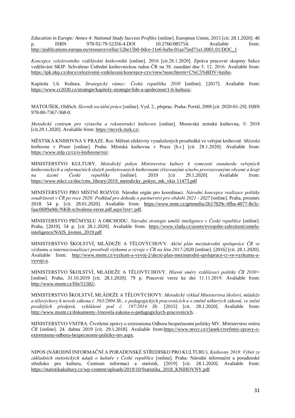*Education in Europe: Annex 4: National Study Success Profiles* [online]. European Union, 2015 [cit. 28.1.2020]. 46 p. ISBN 978-92-79-52356-4.DOI 10.2766/085754. Avaliable from: [http://publications.europa.eu/resource/cellar/12be15b0-0dce-11e6-ba9a-01aa75ed71a1.0001.01/DOC\\_1](http://publications.europa.eu/resource/cellar/12be15b0-0dce-11e6-ba9a-01aa75ed71a1.0001.01/DOC_1)

*Koncepce celoživotního vzdělávání knihovníků* [online]. 2016 [cit.28.1.2020]. Zpráva pracovní skupiny Sekce vzdělávání SKIP. Schváleno Ústřední knihovnickou radou ČR na 38. zasedání dne 5. 12. 2016. Avaliable from: [https://ipk.nkp.cz/docs/celozivotni-vzdelavani/koncepce-czv/view?searchterm=C%C5%BDV+kniho.](https://ipk.nkp.cz/docs/celozivotni-vzdelavani/koncepce-czv/view?searchterm=C%C5%BDV+kniho)

Kapitola 1.6. Kultura. *Strategický rámec: Česká republika 2030* [online]. [2017]. Avaliable from: [https://www.cr2030.cz/strategie/kapitoly-strategie/lide-a-spolecnost/1-6-kultura/.](https://www.cr2030.cz/strategie/kapitoly-strategie/lide-a-spolecnost/1-6-kultura/)

MATOUŠEK, Oldřich. *Slovník sociální práce* [online]. Vyd. 2., přeprac. Praha: Portál, 2008 [cit. 2020-01-29]. ISBN 978-80-7367-368-0.

*Metodické centrum pro výstavbu a rekonstrukci knihoven* [online]. Moravská zemská knihovna, © 2018 [cit.29.1.2020]. Avaliable from: [https://mcvrk.mzk.cz/.](https://mcvrk.mzk.cz/)

MĚSTSKÁ KNIHOVNA V PRAZE. Roi: Měření efektivity vynaložených prostředků ve veřejné knihovně*. Městská knihovna v Praze* [online]. Praha: Městská knihovna v Praze [b.r.] [cit. 28.1.2020]. Avaliable from: https://www.mlp.cz/cz/o-knihovne/roi/.

MINISTERSTVO KULTURY. *Metodický pokyn Ministerstva kultury k vymezení standardu veřejných knihovnických a informačních služeb poskytovaných knihovnami zřizovanými a/nebo provozovanými obcemi a kraji na území České republiky* [online]. 2019 [cit 29.1.2020]. Avaliable from: https://www.mkcr.cz/doc/cms\_library/2019\_metodicky\_pokyn\_mk\_vkis 11473.pdf

MINISTERSTVO PRO MÍSTNÍ ROZVOJ. Národní orgán pro koordinaci. *Národní koncepce realizace politiky soudržnosti v ČR po roce 2020: Podklad pro dohodu o partnerství pro období 2021 - 2027* [online]. Praha, prosinec 2018. 54 p. [cit. 28.01.2020]. Avaliable from: [https://www.mmr.cz/getmedia/2b17829c-0fba-4077-8e3c](https://www.mmr.cz/getmedia/2b17829c-0fba-4077-8e3c-faac0689a9dc/NKR-schvalena-verze.pdf.aspx?ext=.pdf)[faac0689a9dc/NKR-schvalena-verze.pdf.aspx?ext=.pdf.](https://www.mmr.cz/getmedia/2b17829c-0fba-4077-8e3c-faac0689a9dc/NKR-schvalena-verze.pdf.aspx?ext=.pdf)

MINISTERSTVO PRŮMYSLU A OBCHODU. *Národní strategie umělé inteligence v České republice* [online]. Praha, [2019]. 54 p. [cit 28.1.2020]. Avaliable from: [https://www.vlada.cz/assets/evropske-zalezitosti/umela](https://www.vlada.cz/assets/evropske-zalezitosti/umela-inteligence/NAIS_kveten_2019.pdf)[inteligence/NAIS\\_kveten\\_2019.pdf](https://www.vlada.cz/assets/evropske-zalezitosti/umela-inteligence/NAIS_kveten_2019.pdf)

MINISTERSTVO ŠKOLSTVÍ, MLÁDEŽE A TĚLOVÝCHOVY. *Akční plán mezinárodní spolupráce ČR ve výzkumu a internacionalizaci prostředí výzkumu a vývoje v ČR na léta 2017-2020* [online]. [2016] [cit. 28.1.2020]. Avaliable from: [http://www.msmt.cz/vyzkum-a-vyvoj-2/akcni-plan-mezinarodni-spoluprace-cr-ve-vyzkumu-a](http://www.msmt.cz/vyzkum-a-vyvoj-2/akcni-plan-mezinarodni-spoluprace-cr-ve-vyzkumu-a-vyvoji-a)[vyvoji-a.](http://www.msmt.cz/vyzkum-a-vyvoj-2/akcni-plan-mezinarodni-spoluprace-cr-ve-vyzkumu-a-vyvoji-a)

MINISTERSTVO ŠKOLSTVÍ, MLÁDEŽE A TĚLOVÝCHOVY. *Hlavní směry vzdělávací politiky ČR 2030+* [online]. Praha, 31.10.2019 [cit. 28.1.2020]. 79 p. Pracovní verze ke dni 11.11.2019. Avaliable from: [http://www.msmt.cz/file/51582/.](http://www.msmt.cz/file/51582/) 

MINISTERSTVO ŠKOLSTVÍ, MLÁDEŽE A TĚLOVÝCHOVY. *Metodický výklad Ministerstva školství, mládeže a tělovýchovy k novele zákona č. 563/2004 Sb., o pedagogických pracovnících a o změně některých zákonů, ve znění pozdějších předpisů, vyhlášené pod č. 197/2014 Sb.* [2015] [cit. 28.1.2020]. Avaliable from: [http://www.msmt.cz/dokumenty-3/novela-zakona-o-pedagogickych-pracovnicich.](http://www.msmt.cz/dokumenty-3/novela-zakona-o-pedagogickych-pracovnicich) .

MINISTERSTVO VNITRA. Čtvrtletní zprávy o extremismu Odboru bezpečnostní politiky MV. *Ministerstvo vnitra ČR* [online]. 24. dubna 2019 [cit. 29.1.2018]. Avaliable fro[m:https://www.mvcr.cz/clanek/ctvrtletni-zpravy-o](https://www.mvcr.cz/clanek/ctvrtletni-zpravy-o-extremismu-odboru-bezpecnostni-politiky-mv.aspx)[extremismu-odboru-bezpecnostni-politiky-mv.aspx.](https://www.mvcr.cz/clanek/ctvrtletni-zpravy-o-extremismu-odboru-bezpecnostni-politiky-mv.aspx)

NIPOS (NÁRODNÍ INFORMAČNÍ A PORADENSKÉ STŘEDISKO PRO KULTURU). *Knihovny 2018: Výběr ze základních statistických údajů o kultuře v České republice* [online]. Praha: Národní informační a poradenské středisko pro kulturu, Centrum informací a statistik, [2019] [cit. 28.1.2020]. Avaliable from: [https://statistikakultury.cz/wp-content/uploads/2019/10/Statistika\\_2018\\_KNIHOVNY.pdf](https://statistikakultury.cz/wp-content/uploads/2019/10/Statistika_2018_KNIHOVNY.pdf)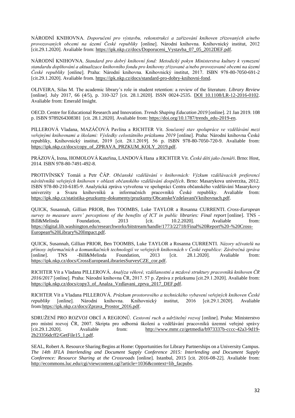NÁRODNÍ KNIHOVNA. *Doporučení pro výstavbu, rekonstrukci a zařizování knihoven zřizovaných a/nebo provozovaných obcemi na území České republiky* [online]. Národní knihovna. Knihovnický institut, 2012 [cit.29.1.2020]. Avaliable from: [https://ipk.nkp.cz/docs/Doporuceni\\_Vystavba\\_07\\_05\\_2012DEF.pdf.](https://ipk.nkp.cz/docs/Doporuceni_Vystavba_07_05_2012DEF.pdf)

NÁRODNÍ KNIHOVNA. *Standard pro dobrý knihovní fond: Metodický pokyn Ministerstva kultury k vymezení standardu doplňování a aktualizace knihovního fondu pro knihovny zřizované a/nebo provozované obcemi na území České republiky* [online]. Praha: Národní knihovna. Knihovnický institut, 2017. ISBN 978-80-7050-691-2 [cit.29.1.2020]. Avaliable from. [https://ipk.nkp.cz/docs/standard-pro-dobry-knihovni-fond.](https://ipk.nkp.cz/docs/standard-pro-dobry-knihovni-fond)

OLIVEIRA, Silas M. The academic library's role in student retention: a review of the literature. *Library Review* [online]. July 2017, 66 (4/5), p. 310-327 [cit. 28.1.2020]. ISSN 0024-2535. [DOI 10.1108/LR-12-2016-0102.](https://www.emerald.com/insight/content/doi/10.1108/LR-12-2016-0102/full/html) Avaliable from: Emerald Insight.

OECD. Centre for Educational Research and Innovation. *Trends Shaping Education 2019* [online]. 21 Jan 2019. 108 p. ISBN 9789264308381 [cit. 28.1.2020]. Avaliable from: [https://doi.org/10.1787/trends\\_edu-2019-en.](https://doi.org/10.1787/trends_edu-2019-en)

PILLEROVÁ Vladana, MAZÁČOVÁ Pavlína a RICHTER Vít. *Současný stav spolupráce ve vzdělávání mezi veřejnými knihovnami a školami: Výsledky celostátního průzkumu 2019* [online]. Praha: Národní knihovna České republiky, Knihovnický institut, 2019 [cit. 28.1.2019]. 56 p. ISBN 978-80-7050-720-9. Avaliable from: [https://ipk.nkp.cz/docs/copy\\_of\\_ZPRAVA\\_PRZKUM\\_KOLY\\_2019.pdf.](https://ipk.nkp.cz/docs/copy_of_ZPRAVA_PRZKUM_KOLY_2019.pdf)

PRÁZOVÁ, Irena, HOMOLOVÁ Kateřina, LANDOVÁ Hana a RICHTER Vít. *České děti jako čtenáři*. Brno: Host, 2014. ISBN 978-80-7491-492-8.

PROTIVÍNSKÝ Tomáš a Petr ČÁP. *Občanské vzdělávání v knihovnách: Výzkum vzdělávacích preferencí návštěvníků veřejných knihoven v oblasti občanského vzdělávání dospělých*. Brno: Masarykova univerzita, 2012. ISBN 978-80-210-6185-9. Analytická zpráva vytvořena ve spolupráci Centra občanského vzdělávání Masarykovy univerzity a Svazu knihovníků a informačních pracovníků České republiky. Avaliable from: [https://ipk.nkp.cz/statistika-pruzkumy-dokumenty/pruzkumy/ObcanskeVzdelavaniVknihovnach.pdf.](https://ipk.nkp.cz/statistika-pruzkumy-dokumenty/pruzkumy/ObcanskeVzdelavaniVknihovnach.pdf)

QUICK, Susannah, Gillian PRIOR, Ben TOOMBS, Luke TAYLOR a Rosanna CURRENTI. *Cross-European survey to measure users' perceptions of the benefits of ICT in public libraries: Final report* [online]. TNS - Bill&Melinda Foundation, 2013 [cit. 10.2.2020]. Avaliable from: [https://digital.lib.washington.edu/researchworks/bitstream/handle/1773/22718/Final%20Report%20-%20Cross-](https://digital.lib.washington.edu/researchworks/bitstream/handle/1773/22718/Final%20Report%20-%20Cross-European%20Library%20Impact.pdf)[European%20Library%20Impact.pdf.](https://digital.lib.washington.edu/researchworks/bitstream/handle/1773/22718/Final%20Report%20-%20Cross-European%20Library%20Impact.pdf)

QUICK, Susannah, Gillian PRIOR, Ben TOOMBS, Luke TAYLOR a Rosanna CURRENTI. *Názory uživatelů na přínosy informačních a komunikačních technologií ve veřejných knihovnách v České republice: Závěrečná zpráva*  [online]. TNS -Bill&Melinda Foundation, 2013 [cit. 28.1.2020]. Avaliable from: [https://ipk.nkp.cz/docs/CrossEuropeanLibrariesSurveyCZE\\_cor.pdf.](https://ipk.nkp.cz/docs/CrossEuropeanLibrariesSurveyCZE_cor.pdf)

RICHTER Vít a Vladana PILLEROVÁ. *Analýza věkové, vzdělanostní a mzdové struktury pracovníků knihoven ČR 2016/2017* [online]. Praha: Národní knihovna ČR, 2017. 57 p. Zpráva z průzkumu [cit.29.1.2020]. Avaliable from: [https://ipk.nkp.cz/docs/copy3\\_of\\_Analza\\_Vzdlavani\\_zprva\\_2017\\_DEF.pdf.](https://ipk.nkp.cz/docs/copy3_of_Analza_Vzdlavani_zprva_2017_DEF.pdf)

RICHTER Vít a Vladana PILLEROVÁ. *Průzkum prostorového a technického vybavení veřejných knihoven České republiky* [online]. Národní knihovna. Knihovnický institut, 2016 [cit.29.1.2020]. Avaliable from[:https://ipk.nkp.cz/docs/Zprava\\_Prostor\\_2016.pdf.](https://ipk.nkp.cz/docs/Zprava_Prostor_2016.pdf)

SDRUŽENÍ PRO ROZVOJ OBCÍ A REGIONŮ. *Cestovní ruch a udržitelný rozvoj* [online]. Praha: Ministerstvo pro místní rozvoj ČR, 2007. Skripta pro odborná školení a vzdělávání pracovníků územní veřejné správy [cit.29.1.2020]. Avaliable from: [http://www.mmr.cz/getmedia/b973337b-cccc-42a3-9d19-](http://www.mmr.cz/getmedia/b973337b-cccc-42a3-9d19-2b23356dcff2/GetFile15_1.pdf) [2b23356dcff2/GetFile15\\_1.pdf.](http://www.mmr.cz/getmedia/b973337b-cccc-42a3-9d19-2b23356dcff2/GetFile15_1.pdf)

SEAL, Robert A. Resource Sharing Begins at Home: Opportunities for Library Partnerships on a University Campus. *The 14th IFLA Interlending and Document Supply Conference 2015: Interlending and Document Supply Conference: Resource Sharing at the Crossroads* [online]. Istanbul, 2015 [cit. 2016-08-22]. Avaliable from: [http://ecommons.luc.edu/cgi/viewcontent.cgi?article=1036&context=lib\\_facpubs.](http://ecommons.luc.edu/cgi/viewcontent.cgi?article=1036&context=lib_facpubs)